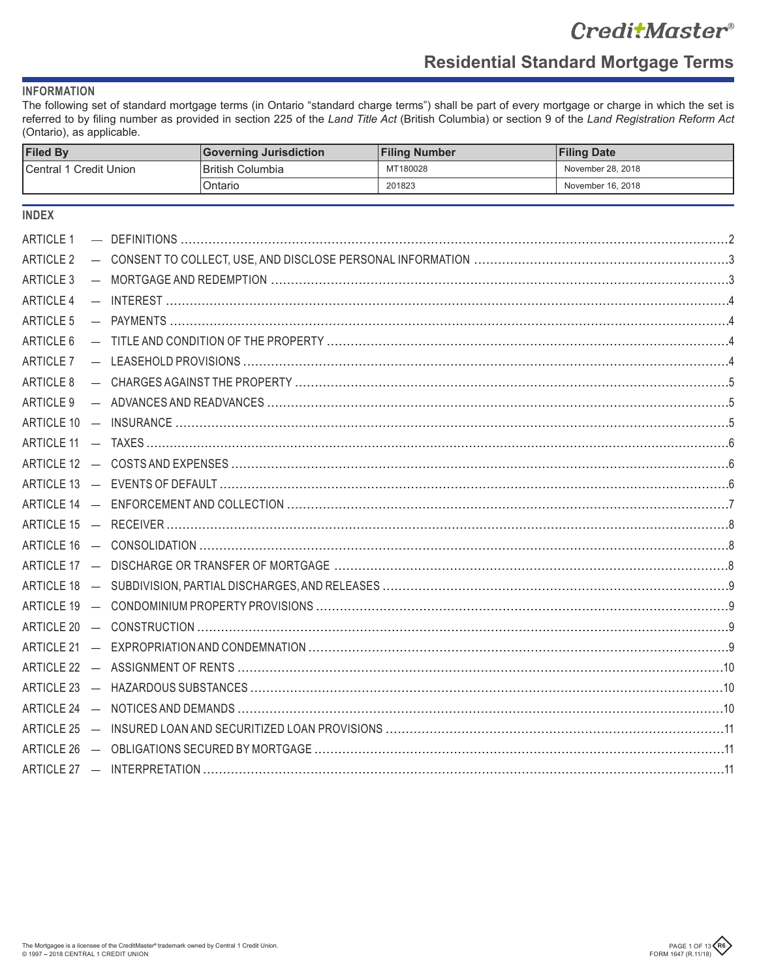# CreditMaster®

٦

# **Residential Standard Mortgage Terms**

**Ellisa Date** 

# **INFORMATION**

 $FiladR$ 

The following set of standard mortgage terms (in Ontario "standard charge terms") shall be part of every mortgage or charge in which the set is referred to by filing number as provided in section 225 of the Land Title Act (British Columbia) or section 9 of the Land Registration Reform Act (Ontario), as applicable.

 $\overline{\mathbf{C}}$  complete limitation  $\overline{\mathbf{C}}$  illing Number

| ∣ r⊪eu ⊳y                     |  |  | Governing Jurisdiction  | <b>Filling Number</b> | <b>Filling Date</b> |  |
|-------------------------------|--|--|-------------------------|-----------------------|---------------------|--|
| <b>Central 1 Credit Union</b> |  |  | <b>British Columbia</b> | MT180028              | November 28, 2018   |  |
|                               |  |  | Ontario                 | 201823                | November 16, 2018   |  |
| <b>INDEX</b>                  |  |  |                         |                       |                     |  |
| <b>ARTICLE 1</b>              |  |  |                         |                       |                     |  |
| ARTICLE 2                     |  |  |                         |                       |                     |  |
| ARTICLE 3                     |  |  |                         |                       |                     |  |
| ARTICLE 4                     |  |  |                         |                       |                     |  |
| <b>ARTICLE 5</b>              |  |  |                         |                       |                     |  |
| ARTICLE 6                     |  |  |                         |                       |                     |  |
| ARTICLE 7                     |  |  |                         |                       |                     |  |
| ARTICLE 8                     |  |  |                         |                       |                     |  |
|                               |  |  |                         |                       |                     |  |
|                               |  |  |                         |                       |                     |  |
|                               |  |  |                         |                       |                     |  |
|                               |  |  |                         |                       |                     |  |
|                               |  |  |                         |                       |                     |  |
|                               |  |  |                         |                       |                     |  |
|                               |  |  |                         |                       |                     |  |
|                               |  |  |                         |                       |                     |  |
|                               |  |  |                         |                       |                     |  |
|                               |  |  |                         |                       |                     |  |
|                               |  |  |                         |                       |                     |  |
|                               |  |  |                         |                       |                     |  |
|                               |  |  |                         |                       |                     |  |
|                               |  |  |                         |                       |                     |  |
|                               |  |  |                         |                       |                     |  |
|                               |  |  |                         |                       |                     |  |
|                               |  |  |                         |                       |                     |  |
|                               |  |  |                         |                       |                     |  |
|                               |  |  |                         |                       |                     |  |

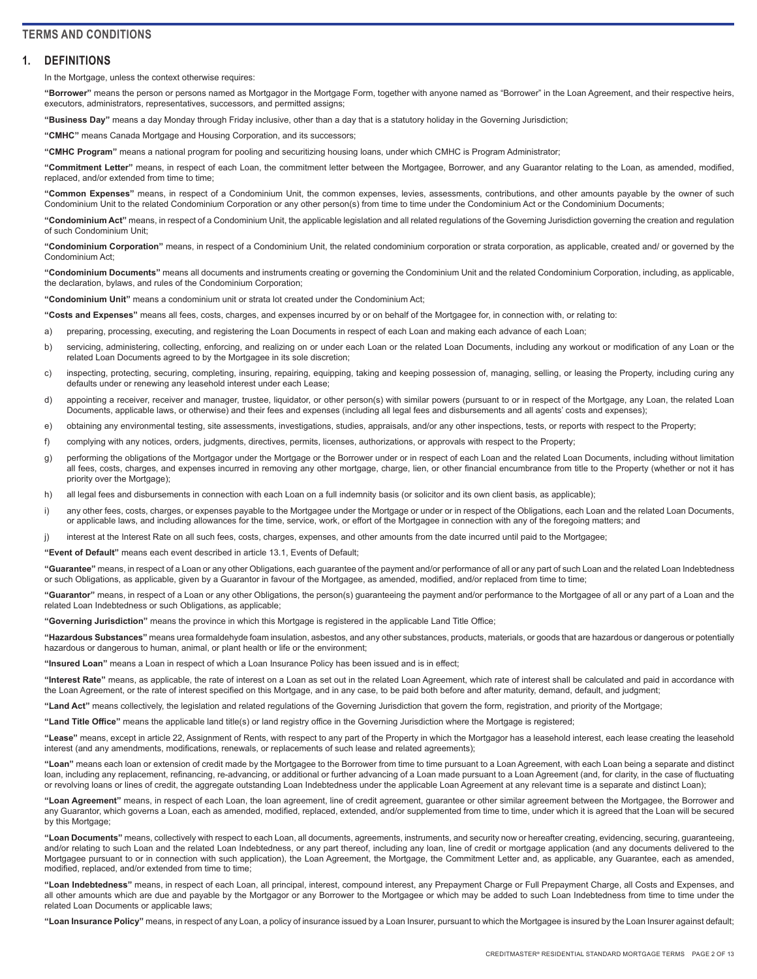# <span id="page-1-0"></span>**TERMS AND CONDITIONS**

## **1. DEFINITIONS**

In the Mortgage, unless the context otherwise requires:

**"Borrower"** means the person or persons named as Mortgagor in the Mortgage Form, together with anyone named as "Borrower" in the Loan Agreement, and their respective heirs, executors, administrators, representatives, successors, and permitted assigns;

**"Business Day"** means a day Monday through Friday inclusive, other than a day that is a statutory holiday in the Governing Jurisdiction;

**"CMHC"** means Canada Mortgage and Housing Corporation, and its successors;

**"CMHC Program"** means a national program for pooling and securitizing housing loans, under which CMHC is Program Administrator;

**"Commitment Letter"** means, in respect of each Loan, the commitment letter between the Mortgagee, Borrower, and any Guarantor relating to the Loan, as amended, modified, replaced, and/or extended from time to time:

**"Common Expenses"** means, in respect of a Condominium Unit, the common expenses, levies, assessments, contributions, and other amounts payable by the owner of such Condominium Unit to the related Condominium Corporation or any other person(s) from time to time under the Condominium Act or the Condominium Documents;

**"Condominium Act"** means, in respect of a Condominium Unit, the applicable legislation and all related regulations of the Governing Jurisdiction governing the creation and regulation of such Condominium Unit;

**"Condominium Corporation"** means, in respect of a Condominium Unit, the related condominium corporation or strata corporation, as applicable, created and/ or governed by the Condominium Act;

**"Condominium Documents"** means all documents and instruments creating or governing the Condominium Unit and the related Condominium Corporation, including, as applicable, the declaration, bylaws, and rules of the Condominium Corporation;

**"Condominium Unit"** means a condominium unit or strata lot created under the Condominium Act;

**"Costs and Expenses"** means all fees, costs, charges, and expenses incurred by or on behalf of the Mortgagee for, in connection with, or relating to:

a) preparing, processing, executing, and registering the Loan Documents in respect of each Loan and making each advance of each Loan;

- b) servicing, administering, collecting, enforcing, and realizing on or under each Loan or the related Loan Documents, including any workout or modification of any Loan or the related Loan Documents agreed to by the Mortgagee in its sole discretion;
- c) inspecting, protecting, securing, completing, insuring, repairing, equipping, taking and keeping possession of, managing, selling, or leasing the Property, including curing any defaults under or renewing any leasehold interest under each Lease;
- d) appointing a receiver, receiver and manager, trustee, liquidator, or other person(s) with similar powers (pursuant to or in respect of the Mortgage, any Loan, the related Loan Documents, applicable laws, or otherwise) and their fees and expenses (including all legal fees and disbursements and all agents' costs and expenses);
- e) obtaining any environmental testing, site assessments, investigations, studies, appraisals, and/or any other inspections, tests, or reports with respect to the Property;
- f) complying with any notices, orders, judgments, directives, permits, licenses, authorizations, or approvals with respect to the Property;
- g) performing the obligations of the Mortgagor under the Mortgage or the Borrower under or in respect of each Loan and the related Loan Documents, including without limitation all fees, costs, charges, and expenses incurred in removing any other mortgage, charge, lien, or other financial encumbrance from title to the Property (whether or not it has priority over the Mortgage);
- h) all legal fees and disbursements in connection with each Loan on a full indemnity basis (or solicitor and its own client basis, as applicable);
- i) any other fees, costs, charges, or expenses payable to the Mortgagee under the Mortgage or under or in respect of the Obligations, each Loan and the related Loan Documents, or applicable laws, and including allowances for the time, service, work, or effort of the Mortgagee in connection with any of the foregoing matters; and
- j) interest at the Interest Rate on all such fees, costs, charges, expenses, and other amounts from the date incurred until paid to the Mortgagee;

**"Event of Default"** means each event described in article 13.1, Events of Default;

**"Guarantee"** means, in respect of a Loan or any other Obligations, each guarantee of the payment and/or performance of all or any part of such Loan and the related Loan Indebtedness or such Obligations, as applicable, given by a Guarantor in favour of the Mortgagee, as amended, modified, and/or replaced from time to time;

**"Guarantor"** means, in respect of a Loan or any other Obligations, the person(s) guaranteeing the payment and/or performance to the Mortgagee of all or any part of a Loan and the related Loan Indebtedness or such Obligations, as applicable;

**"Governing Jurisdiction"** means the province in which this Mortgage is registered in the applicable Land Title Office;

**"Hazardous Substances"** means urea formaldehyde foam insulation, asbestos, and any other substances, products, materials, or goods that are hazardous or dangerous or potentially hazardous or dangerous to human, animal, or plant health or life or the environment;

**"Insured Loan"** means a Loan in respect of which a Loan Insurance Policy has been issued and is in effect;

**"Interest Rate"** means, as applicable, the rate of interest on a Loan as set out in the related Loan Agreement, which rate of interest shall be calculated and paid in accordance with the Loan Agreement, or the rate of interest specified on this Mortgage, and in any case, to be paid both before and after maturity, demand, default, and judgment;

**"Land Act"** means collectively, the legislation and related regulations of the Governing Jurisdiction that govern the form, registration, and priority of the Mortgage;

**"Land Title Office"** means the applicable land title(s) or land registry office in the Governing Jurisdiction where the Mortgage is registered;

**"Lease"** means, except in article 22, Assignment of Rents, with respect to any part of the Property in which the Mortgagor has a leasehold interest, each lease creating the leasehold interest (and any amendments, modifications, renewals, or replacements of such lease and related agreements);

**"Loan"** means each loan or extension of credit made by the Mortgagee to the Borrower from time to time pursuant to a Loan Agreement, with each Loan being a separate and distinct loan, including any replacement, refinancing, re-advancing, or additional or further advancing of a Loan made pursuant to a Loan Agreement (and, for clarity, in the case of fluctuating or revolving loans or lines of credit, the aggregate outstanding Loan Indebtedness under the applicable Loan Agreement at any relevant time is a separate and distinct Loan);

**"Loan Agreement"** means, in respect of each Loan, the loan agreement, line of credit agreement, guarantee or other similar agreement between the Mortgagee, the Borrower and any Guarantor, which governs a Loan, each as amended, modified, replaced, extended, and/or supplemented from time to time, under which it is agreed that the Loan will be secured by this Mortgage;

**"Loan Documents"** means, collectively with respect to each Loan, all documents, agreements, instruments, and security now or hereafter creating, evidencing, securing, guaranteeing, and/or relating to such Loan and the related Loan Indebtedness, or any part thereof, including any loan, line of credit or mortgage application (and any documents delivered to the Mortgagee pursuant to or in connection with such application), the Loan Agreement, the Mortgage, the Commitment Letter and, as applicable, any Guarantee, each as amended, modified, replaced, and/or extended from time to time;

**"Loan Indebtedness"** means, in respect of each Loan, all principal, interest, compound interest, any Prepayment Charge or Full Prepayment Charge, all Costs and Expenses, and all other amounts which are due and payable by the Mortgagor or any Borrower to the Mortgagee or which may be added to such Loan Indebtedness from time to time under the related Loan Documents or applicable laws;

**"Loan Insurance Policy"** means, in respect of any Loan, a policy of insurance issued by a Loan Insurer, pursuant to which the Mortgagee is insured by the Loan Insurer against default;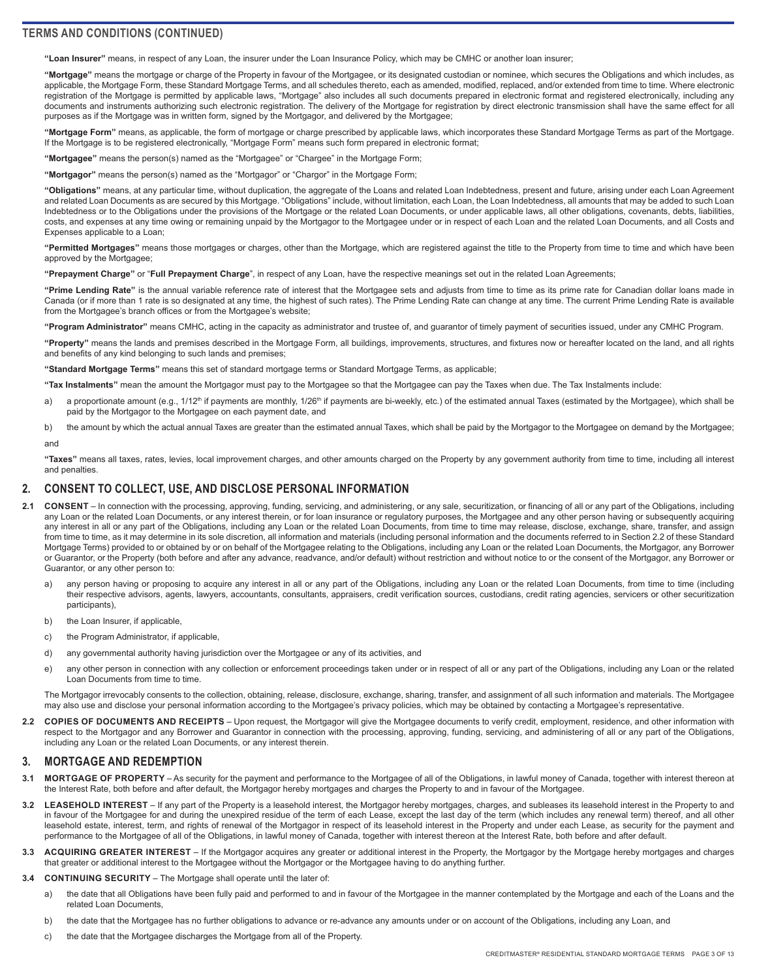<span id="page-2-0"></span>**"Loan Insurer"** means, in respect of any Loan, the insurer under the Loan Insurance Policy, which may be CMHC or another loan insurer;

**"Mortgage"** means the mortgage or charge of the Property in favour of the Mortgagee, or its designated custodian or nominee, which secures the Obligations and which includes, as applicable, the Mortgage Form, these Standard Mortgage Terms, and all schedules thereto, each as amended, modified, replaced, and/or extended from time to time. Where electronic registration of the Mortgage is permitted by applicable laws, "Mortgage" also includes all such documents prepared in electronic format and registered electronically, including any documents and instruments authorizing such electronic registration. The delivery of the Mortgage for registration by direct electronic transmission shall have the same effect for all purposes as if the Mortgage was in written form, signed by the Mortgagor, and delivered by the Mortgagee;

**"Mortgage Form"** means, as applicable, the form of mortgage or charge prescribed by applicable laws, which incorporates these Standard Mortgage Terms as part of the Mortgage. If the Mortgage is to be registered electronically, "Mortgage Form" means such form prepared in electronic format;

**"Mortgagee"** means the person(s) named as the "Mortgagee" or "Chargee" in the Mortgage Form;

**"Mortgagor"** means the person(s) named as the "Mortgagor" or "Chargor" in the Mortgage Form;

**"Obligations"** means, at any particular time, without duplication, the aggregate of the Loans and related Loan Indebtedness, present and future, arising under each Loan Agreement and related Loan Documents as are secured by this Mortgage. "Obligations" include, without limitation, each Loan, the Loan Indebtedness, all amounts that may be added to such Loan Indebtedness or to the Obligations under the provisions of the Mortgage or the related Loan Documents, or under applicable laws, all other obligations, covenants, debts, liabilities, costs, and expenses at any time owing or remaining unpaid by the Mortgagor to the Mortgagee under or in respect of each Loan and the related Loan Documents, and all Costs and Expenses applicable to a Loan;

**"Permitted Mortgages"** means those mortgages or charges, other than the Mortgage, which are registered against the title to the Property from time to time and which have been approved by the Mortgagee;

**"Prepayment Charge"** or "**Full Prepayment Charge**", in respect of any Loan, have the respective meanings set out in the related Loan Agreements;

**"Prime Lending Rate"** is the annual variable reference rate of interest that the Mortgagee sets and adjusts from time to time as its prime rate for Canadian dollar loans made in Canada (or if more than 1 rate is so designated at any time, the highest of such rates). The Prime Lending Rate can change at any time. The current Prime Lending Rate is available from the Mortgagee's branch offices or from the Mortgagee's website;

**"Program Administrator"** means CMHC, acting in the capacity as administrator and trustee of, and guarantor of timely payment of securities issued, under any CMHC Program.

**"Property"** means the lands and premises described in the Mortgage Form, all buildings, improvements, structures, and fixtures now or hereafter located on the land, and all rights and benefits of any kind belonging to such lands and premises;

**"Standard Mortgage Terms"** means this set of standard mortgage terms or Standard Mortgage Terms, as applicable;

**"Tax Instalments"** mean the amount the Mortgagor must pay to the Mortgagee so that the Mortgagee can pay the Taxes when due. The Tax Instalments include:

- a) a proportionate amount (e.g., 1/12<sup>th</sup> if payments are monthly, 1/26<sup>th</sup> if payments are bi-weekly, etc.) of the estimated annual Taxes (estimated by the Mortgagee), which shall be paid by the Mortgagor to the Mortgagee on each payment date, and
- b) the amount by which the actual annual Taxes are greater than the estimated annual Taxes, which shall be paid by the Mortgagor to the Mortgagee on demand by the Mortgagee;

#### and

**"Taxes"** means all taxes, rates, levies, local improvement charges, and other amounts charged on the Property by any government authority from time to time, including all interest and penalties.

#### **2. CONSENT TO COLLECT, USE, AND DISCLOSE PERSONAL INFORMATION**

- 2.1 **CONSENT** In connection with the processing, approving, funding, servicing, and administering, or any sale, securitization, or financing of all or any part of the Obligations, including any Loan or the related Loan Documents, or any interest therein, or for loan insurance or regulatory purposes, the Mortgagee and any other person having or subsequently acquiring any interest in all or any part of the Obligations, including any Loan or the related Loan Documents, from time to time may release, disclose, exchange, share, transfer, and assign from time to time, as it may determine in its sole discretion, all information and materials (including personal information and the documents referred to in Section 2.2 of these Standard Mortgage Terms) provided to or obtained by or on behalf of the Mortgagee relating to the Obligations, including any Loan or the related Loan Documents, the Mortgagor, any Borrower or Guarantor, or the Property (both before and after any advance, readvance, and/or default) without restriction and without notice to or the consent of the Mortgagor, any Borrower or Guarantor, or any other person to:
	- a) any person having or proposing to acquire any interest in all or any part of the Obligations, including any Loan or the related Loan Documents, from time to time (including their respective advisors, agents, lawyers, accountants, consultants, appraisers, credit verification sources, custodians, credit rating agencies, servicers or other securitization participants),
	- b) the Loan Insurer, if applicable.
	- c) the Program Administrator, if applicable,
	- d) any governmental authority having jurisdiction over the Mortgagee or any of its activities, and
	- e) any other person in connection with any collection or enforcement proceedings taken under or in respect of all or any part of the Obligations, including any Loan or the related Loan Documents from time to time.

The Mortgagor irrevocably consents to the collection, obtaining, release, disclosure, exchange, sharing, transfer, and assignment of all such information and materials. The Mortgagee may also use and disclose your personal information according to the Mortgagee's privacy policies, which may be obtained by contacting a Mortgagee's representative.

**2.2 COPIES OF DOCUMENTS AND RECEIPTS** – Upon request, the Mortgagor will give the Mortgagee documents to verify credit, employment, residence, and other information with respect to the Mortgagor and any Borrower and Guarantor in connection with the processing, approving, funding, servicing, and administering of all or any part of the Obligations, including any Loan or the related Loan Documents, or any interest therein.

## **3. MORTGAGE AND REDEMPTION**

- 3.1 MORTGAGE OF PROPERTY As security for the payment and performance to the Mortgagee of all of the Obligations, in lawful money of Canada, together with interest thereon at the Interest Rate, both before and after default, the Mortgagor hereby mortgages and charges the Property to and in favour of the Mortgagee.
- **3.2 LEASEHOLD INTEREST**  If any part of the Property is a leasehold interest, the Mortgagor hereby mortgages, charges, and subleases its leasehold interest in the Property to and in favour of the Mortgagee for and during the unexpired residue of the term of each Lease, except the last day of the term (which includes any renewal term) thereof, and all other leasehold estate, interest, term, and rights of renewal of the Mortgagor in respect of its leasehold interest in the Property and under each Lease, as security for the payment and performance to the Mortgagee of all of the Obligations, in lawful money of Canada, together with interest thereon at the Interest Rate, both before and after default.
- 3.3 ACQUIRING GREATER INTEREST If the Mortgagor acquires any greater or additional interest in the Property, the Mortgagor by the Mortgage hereby mortgages and charges that greater or additional interest to the Mortgagee without the Mortgagor or the Mortgagee having to do anything further.
- **3.4 CONTINUING SECURITY**  The Mortgage shall operate until the later of:
	- a) the date that all Obligations have been fully paid and performed to and in favour of the Mortgagee in the manner contemplated by the Mortgage and each of the Loans and the related Loan Documents,
	- b) the date that the Mortgagee has no further obligations to advance or re-advance any amounts under or on account of the Obligations, including any Loan, and
	- c) the date that the Mortgagee discharges the Mortgage from all of the Property.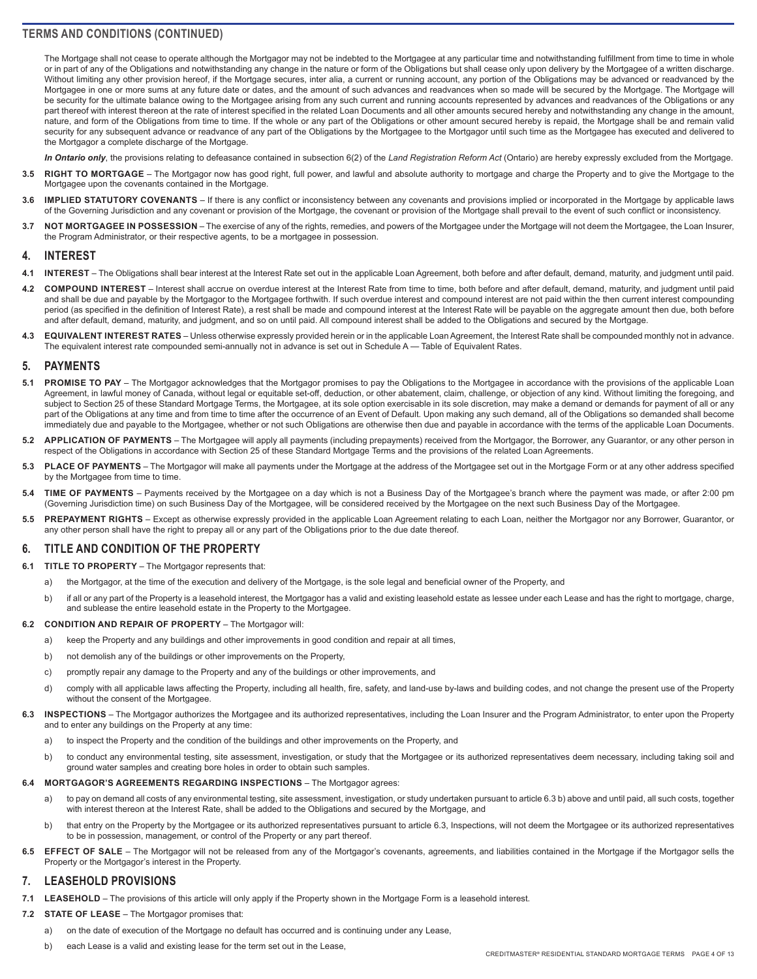<span id="page-3-0"></span>The Mortgage shall not cease to operate although the Mortgagor may not be indebted to the Mortgagee at any particular time and notwithstanding fulfillment from time to time in whole or in part of any of the Obligations and notwithstanding any change in the nature or form of the Obligations but shall cease only upon delivery by the Mortgagee of a written discharge. Without limiting any other provision hereof, if the Mortgage secures, inter alia, a current or running account, any portion of the Obligations may be advanced or readvanced by the Mortgagee in one or more sums at any future date or dates, and the amount of such advances and readvances when so made will be secured by the Mortgage. The Mortgage will be security for the ultimate balance owing to the Mortgagee arising from any such current and running accounts represented by advances and readvances of the Obligations or any part thereof with interest thereon at the rate of interest specified in the related Loan Documents and all other amounts secured hereby and notwithstanding any change in the amount, nature, and form of the Obligations from time to time. If the whole or any part of the Obligations or other amount secured hereby is repaid, the Mortgage shall be and remain valid security for any subsequent advance or readvance of any part of the Obligations by the Mortgagee to the Mortgagor until such time as the Mortgagee has executed and delivered to the Mortgagor a complete discharge of the Mortgage.

*In Ontario only*, the provisions relating to defeasance contained in subsection 6(2) of the *Land Registration Reform Act* (Ontario) are hereby expressly excluded from the Mortgage.

- **3.5 RIGHT TO MORTGAGE**  The Mortgagor now has good right, full power, and lawful and absolute authority to mortgage and charge the Property and to give the Mortgage to the Mortgagee upon the covenants contained in the Mortgage.
- **3.6 IMPLIED STATUTORY COVENANTS**  If there is any conflict or inconsistency between any covenants and provisions implied or incorporated in the Mortgage by applicable laws of the Governing Jurisdiction and any covenant or provision of the Mortgage, the covenant or provision of the Mortgage shall prevail to the event of such conflict or inconsistency.
- **3.7 NOT MORTGAGEE IN POSSESSION**  The exercise of any of the rights, remedies, and powers of the Mortgagee under the Mortgage will not deem the Mortgagee, the Loan Insurer, the Program Administrator, or their respective agents, to be a mortgagee in possession.

## **4. INTEREST**

- **4.1 INTEREST**  The Obligations shall bear interest at the Interest Rate set out in the applicable Loan Agreement, both before and after default, demand, maturity, and judgment until paid.
- 4.2 **COMPOUND INTEREST** Interest shall accrue on overdue interest at the Interest Rate from time to time, both before and after default, demand, maturity, and judgment until paid and shall be due and payable by the Mortgagor to the Mortgagee forthwith. If such overdue interest and compound interest are not paid within the then current interest compounding period (as specified in the definition of Interest Rate), a rest shall be made and compound interest at the Interest Rate will be payable on the aggregate amount then due, both before and after default, demand, maturity, and judgment, and so on until paid. All compound interest shall be added to the Obligations and secured by the Mortgage.
- **4.3 EQUIVALENT INTEREST RATES**  Unless otherwise expressly provided herein or in the applicable Loan Agreement, the Interest Rate shall be compounded monthly not in advance. The equivalent interest rate compounded semi-annually not in advance is set out in Schedule A — Table of Equivalent Rates.

#### **5. PAYMENTS**

- 5.1 PROMISE TO PAY The Mortgagor acknowledges that the Mortgagor promises to pay the Obligations to the Mortgagee in accordance with the provisions of the applicable Loan Agreement, in lawful money of Canada, without legal or equitable set-off, deduction, or other abatement, claim, challenge, or objection of any kind. Without limiting the foregoing, and subject to Section 25 of these Standard Mortgage Terms, the Mortgagee, at its sole option exercisable in its sole discretion, may make a demand or demands for payment of all or any part of the Obligations at any time and from time to time after the occurrence of an Event of Default. Upon making any such demand, all of the Obligations so demanded shall become immediately due and payable to the Mortgagee, whether or not such Obligations are otherwise then due and payable in accordance with the terms of the applicable Loan Documents.
- **5.2 APPLICATION OF PAYMENTS**  The Mortgagee will apply all payments (including prepayments) received from the Mortgagor, the Borrower, any Guarantor, or any other person in respect of the Obligations in accordance with Section 25 of these Standard Mortgage Terms and the provisions of the related Loan Agreements.
- 5.3 PLACE OF PAYMENTS The Mortgagor will make all payments under the Mortgage at the address of the Mortgagee set out in the Mortgage Form or at any other address specified by the Mortgagee from time to time.
- **5.4 TIME OF PAYMENTS**  Payments received by the Mortgagee on a day which is not a Business Day of the Mortgagee's branch where the payment was made, or after 2:00 pm (Governing Jurisdiction time) on such Business Day of the Mortgagee, will be considered received by the Mortgagee on the next such Business Day of the Mortgagee.
- **5.5 PREPAYMENT RIGHTS**  Except as otherwise expressly provided in the applicable Loan Agreement relating to each Loan, neither the Mortgagor nor any Borrower, Guarantor, or any other person shall have the right to prepay all or any part of the Obligations prior to the due date thereof.

#### **6. TITLE AND CONDITION OF THE PROPERTY**

- **6.1 TITLE TO PROPERTY**  The Mortgagor represents that:
	- a) the Mortgagor, at the time of the execution and delivery of the Mortgage, is the sole legal and beneficial owner of the Property, and
	- b) if all or any part of the Property is a leasehold interest, the Mortgagor has a valid and existing leasehold estate as lessee under each Lease and has the right to mortgage, charge, and sublease the entire leasehold estate in the Property to the Mortgagee.

#### **6.2 CONDITION AND REPAIR OF PROPERTY** – The Mortgagor will:

- a) keep the Property and any buildings and other improvements in good condition and repair at all times,
- b) not demolish any of the buildings or other improvements on the Property,
- c) promptly repair any damage to the Property and any of the buildings or other improvements, and
- d) comply with all applicable laws affecting the Property, including all health, fire, safety, and land-use by-laws and building codes, and not change the present use of the Property without the consent of the Mortgagee.
- 6.3 **INSPECTIONS** The Mortgagor authorizes the Mortgagee and its authorized representatives, including the Loan Insurer and the Program Administrator, to enter upon the Property and to enter any buildings on the Property at any time:
	- a) to inspect the Property and the condition of the buildings and other improvements on the Property, and
	- b) to conduct any environmental testing, site assessment, investigation, or study that the Mortgagee or its authorized representatives deem necessary, including taking soil and ground water samples and creating bore holes in order to obtain such samples.

#### **6.4 MORTGAGOR'S AGREEMENTS REGARDING INSPECTIONS** – The Mortgagor agrees:

- a) to pay on demand all costs of any environmental testing, site assessment, investigation, or study undertaken pursuant to article 6.3 b) above and until paid, all such costs, together with interest thereon at the Interest Rate, shall be added to the Obligations and secured by the Mortgage, and
- b) that entry on the Property by the Mortgagee or its authorized representatives pursuant to article 6.3, Inspections, will not deem the Mortgagee or its authorized representatives to be in possession, management, or control of the Property or any part thereof.
- 6.5 **EFFECT OF SALE** The Mortgagor will not be released from any of the Mortgagor's covenants, agreements, and liabilities contained in the Mortgage if the Mortgagor sells the Property or the Mortgagor's interest in the Property.

## **7. LEASEHOLD PROVISIONS**

- **7.1 LEASEHOLD**  The provisions of this article will only apply if the Property shown in the Mortgage Form is a leasehold interest.
- **7.2 STATE OF LEASE**  The Mortgagor promises that:
	- a) on the date of execution of the Mortgage no default has occurred and is continuing under any Lease,
	- b) each Lease is a valid and existing lease for the term set out in the Lease,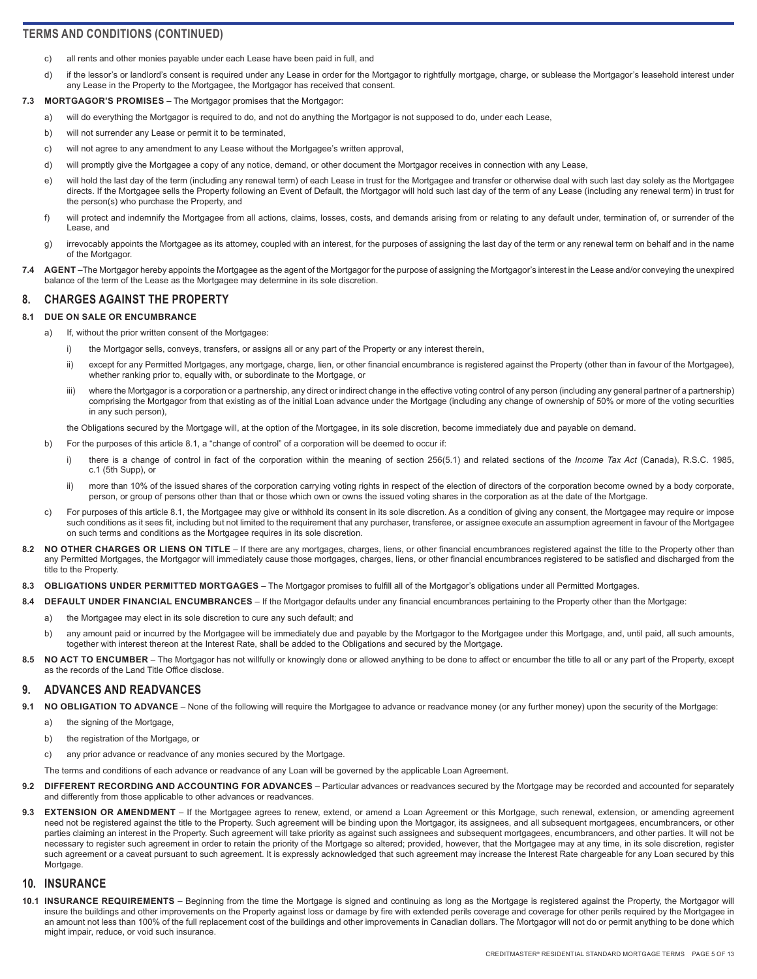- <span id="page-4-0"></span>c) all rents and other monies payable under each Lease have been paid in full, and
- d) if the lessor's or landlord's consent is required under any Lease in order for the Mortgagor to rightfully mortgage, charge, or sublease the Mortgagor's leasehold interest under any Lease in the Property to the Mortgagee, the Mortgagor has received that consent.

#### **7.3 MORTGAGOR'S PROMISES** – The Mortgagor promises that the Mortgagor:

- a) will do everything the Mortgagor is required to do, and not do anything the Mortgagor is not supposed to do, under each Lease,
- b) will not surrender any Lease or permit it to be terminated,
- c) will not agree to any amendment to any Lease without the Mortgagee's written approval,
- d) will promptly give the Mortgagee a copy of any notice, demand, or other document the Mortgagor receives in connection with any Lease,
- e) will hold the last day of the term (including any renewal term) of each Lease in trust for the Mortgagee and transfer or otherwise deal with such last day solely as the Mortgagee directs. If the Mortgagee sells the Property following an Event of Default, the Mortgagor will hold such last day of the term of any Lease (including any renewal term) in trust for the person(s) who purchase the Property, and
- f) will protect and indemnify the Mortgagee from all actions, claims, losses, costs, and demands arising from or relating to any default under, termination of, or surrender of the Lease, and
- g) irrevocably appoints the Mortgagee as its attorney, coupled with an interest, for the purposes of assigning the last day of the term or any renewal term on behalf and in the name of the Mortgagor.
- 7.4 AGENT-The Mortgagor hereby appoints the Mortgagee as the agent of the Mortgagor for the purpose of assigning the Mortgagor's interest in the Lease and/or conveying the unexpired balance of the term of the Lease as the Mortgagee may determine in its sole discretion.

## **8. CHARGES AGAINST THE PROPERTY**

#### **8.1 DUE ON SALE OR ENCUMBRANCE**

- a) If, without the prior written consent of the Mortgagee:
	- i) the Mortgagor sells, conveys, transfers, or assigns all or any part of the Property or any interest therein,
	- ii) except for any Permitted Mortgages, any mortgage, charge, lien, or other financial encumbrance is registered against the Property (other than in favour of the Mortgagee), whether ranking prior to, equally with, or subordinate to the Mortgage, or
	- iii) where the Mortgagor is a corporation or a partnership, any direct or indirect change in the effective voting control of any person (including any general partner of a partnership) comprising the Mortgagor from that existing as of the initial Loan advance under the Mortgage (including any change of ownership of 50% or more of the voting securities in any such person),

the Obligations secured by the Mortgage will, at the option of the Mortgagee, in its sole discretion, become immediately due and payable on demand.

- b) For the purposes of this article 8.1, a "change of control" of a corporation will be deemed to occur if:
	- i) there is a change of control in fact of the corporation within the meaning of section 256(5.1) and related sections of the *Income Tax Act* (Canada), R.S.C. 1985, c.1 (5th Supp), or
	- ii) more than 10% of the issued shares of the corporation carrying voting rights in respect of the election of directors of the corporation become owned by a body corporate, person, or group of persons other than that or those which own or owns the issued voting shares in the corporation as at the date of the Mortgage.
- c) For purposes of this article 8.1, the Mortgagee may give or withhold its consent in its sole discretion. As a condition of giving any consent, the Mortgagee may require or impose such conditions as it sees fit, including but not limited to the requirement that any purchaser, transferee, or assignee execute an assumption agreement in favour of the Mortgagee on such terms and conditions as the Mortgagee requires in its sole discretion.
- 8.2 **NO OTHER CHARGES OR LIENS ON TITLE** If there are any mortgages, charges, liens, or other financial encumbrances registered against the title to the Property other than any Permitted Mortgages, the Mortgagor will immediately cause those mortgages, charges, liens, or other financial encumbrances registered to be satisfied and discharged from the title to the Property.
- **8.3 OBLIGATIONS UNDER PERMITTED MORTGAGES**  The Mortgagor promises to fulfill all of the Mortgagor's obligations under all Permitted Mortgages.
- **8.4 DEFAULT UNDER FINANCIAL ENCUMBRANCES**  If the Mortgagor defaults under any financial encumbrances pertaining to the Property other than the Mortgage:
	- a) the Mortgagee may elect in its sole discretion to cure any such default; and
	- b) any amount paid or incurred by the Mortgagee will be immediately due and payable by the Mortgagor to the Mortgagee under this Mortgage, and, until paid, all such amounts, together with interest thereon at the Interest Rate, shall be added to the Obligations and secured by the Mortgage.
- 8.5 NO ACT TO ENCUMBER The Mortgagor has not willfully or knowingly done or allowed anything to be done to affect or encumber the title to all or any part of the Property, except as the records of the Land Title Office disclose.

#### **9. ADVANCES AND READVANCES**

- **9.1 NO OBLIGATION TO ADVANCE**  None of the following will require the Mortgagee to advance or readvance money (or any further money) upon the security of the Mortgage:
	- a) the signing of the Mortgage,
	- b) the registration of the Mortgage, or

c) any prior advance or readvance of any monies secured by the Mortgage.

- The terms and conditions of each advance or readvance of any Loan will be governed by the applicable Loan Agreement.
- **9.2 DIFFERENT RECORDING AND ACCOUNTING FOR ADVANCES**  Particular advances or readvances secured by the Mortgage may be recorded and accounted for separately and differently from those applicable to other advances or readvances.
- **9.3 EXTENSION OR AMENDMENT**  If the Mortgagee agrees to renew, extend, or amend a Loan Agreement or this Mortgage, such renewal, extension, or amending agreement need not be registered against the title to the Property. Such agreement will be binding upon the Mortgagor, its assignees, and all subsequent mortgagees, encumbrancers, or other parties claiming an interest in the Property. Such agreement will take priority as against such assignees and subsequent mortgagees, encumbrancers, and other parties. It will not be necessary to register such agreement in order to retain the priority of the Mortgage so altered; provided, however, that the Mortgagee may at any time, in its sole discretion, register such agreement or a caveat pursuant to such agreement. It is expressly acknowledged that such agreement may increase the Interest Rate chargeable for any Loan secured by this Mortgage.

#### **10. INSURANCE**

**10.1 INSURANCE REQUIREMENTS** – Beginning from the time the Mortgage is signed and continuing as long as the Mortgage is registered against the Property, the Mortgagor will insure the buildings and other improvements on the Property against loss or damage by fire with extended perils coverage and coverage for other perils required by the Mortgagee in an amount not less than 100% of the full replacement cost of the buildings and other improvements in Canadian dollars. The Mortgagor will not do or permit anything to be done which might impair, reduce, or void such insurance.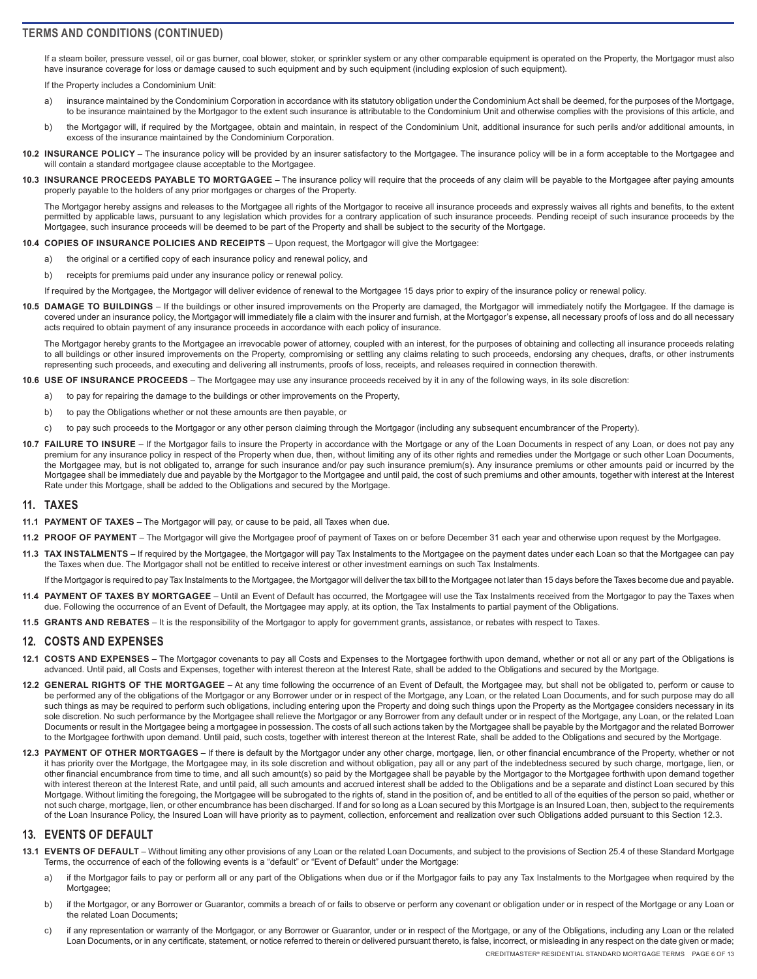<span id="page-5-0"></span>If a steam boiler, pressure vessel, oil or gas burner, coal blower, stoker, or sprinkler system or any other comparable equipment is operated on the Property, the Mortgagor must also have insurance coverage for loss or damage caused to such equipment and by such equipment (including explosion of such equipment).

If the Property includes a Condominium Unit:

- a) insurance maintained by the Condominium Corporation in accordance with its statutory obligation under the Condominium Act shall be deemed, for the purposes of the Mortgage, to be insurance maintained by the Mortgagor to the extent such insurance is attributable to the Condominium Unit and otherwise complies with the provisions of this article, and
- b) the Mortgagor will, if required by the Mortgagee, obtain and maintain, in respect of the Condominium Unit, additional insurance for such perils and/or additional amounts, in excess of the insurance maintained by the Condominium Corporation.
- **10.2 INSURANCE POLICY** The insurance policy will be provided by an insurer satisfactory to the Mortgagee. The insurance policy will be in a form acceptable to the Mortgagee and will contain a standard mortgagee clause acceptable to the Mortgagee.
- **10.3 INSURANCE PROCEEDS PAYABLE TO MORTGAGEE**  The insurance policy will require that the proceeds of any claim will be payable to the Mortgagee after paying amounts properly payable to the holders of any prior mortgages or charges of the Property.

The Mortgagor hereby assigns and releases to the Mortgagee all rights of the Mortgagor to receive all insurance proceeds and expressly waives all rights and benefits, to the extent permitted by applicable laws, pursuant to any legislation which provides for a contrary application of such insurance proceeds. Pending receipt of such insurance proceeds by the Mortgagee, such insurance proceeds will be deemed to be part of the Property and shall be subject to the security of the Mortgage.

- **10.4 COPIES OF INSURANCE POLICIES AND RECEIPTS**  Upon request, the Mortgagor will give the Mortgagee:
	- a) the original or a certified copy of each insurance policy and renewal policy, and
	- b) receipts for premiums paid under any insurance policy or renewal policy.

If required by the Mortgagee, the Mortgagor will deliver evidence of renewal to the Mortgagee 15 days prior to expiry of the insurance policy or renewal policy.

**10.5 DAMAGE TO BUILDINGS** – If the buildings or other insured improvements on the Property are damaged, the Mortgagor will immediately notify the Mortgagee. If the damage is covered under an insurance policy, the Mortgagor will immediately file a claim with the insurer and furnish, at the Mortgagor's expense, all necessary proofs of loss and do all necessary acts required to obtain payment of any insurance proceeds in accordance with each policy of insurance.

The Mortgagor hereby grants to the Mortgagee an irrevocable power of attorney, coupled with an interest, for the purposes of obtaining and collecting all insurance proceeds relating to all buildings or other insured improvements on the Property, compromising or settling any claims relating to such proceeds, endorsing any cheques, drafts, or other instruments representing such proceeds, and executing and delivering all instruments, proofs of loss, receipts, and releases required in connection therewith.

#### **10.6 USE OF INSURANCE PROCEEDS** – The Mortgagee may use any insurance proceeds received by it in any of the following ways, in its sole discretion:

- a) to pay for repairing the damage to the buildings or other improvements on the Property,
- b) to pay the Obligations whether or not these amounts are then payable, or
- c) to pay such proceeds to the Mortgagor or any other person claiming through the Mortgagor (including any subsequent encumbrancer of the Property).
- 10.7 FAILURE TO INSURE If the Mortgagor fails to insure the Property in accordance with the Mortgage or any of the Loan Documents in respect of any Loan, or does not pay any premium for any insurance policy in respect of the Property when due, then, without limiting any of its other rights and remedies under the Mortgage or such other Loan Documents, the Mortgagee may, but is not obligated to, arrange for such insurance and/or pay such insurance premium(s). Any insurance premiums or other amounts paid or incurred by the Mortgagee shall be immediately due and payable by the Mortgagor to the Mortgagee and until paid, the cost of such premiums and other amounts, together with interest at the Interest Rate under this Mortgage, shall be added to the Obligations and secured by the Mortgage.

#### **11. TAXES**

- **11.1 PAYMENT OF TAXES**  The Mortgagor will pay, or cause to be paid, all Taxes when due.
- **11.2 PROOF OF PAYMENT**  The Mortgagor will give the Mortgagee proof of payment of Taxes on or before December 31 each year and otherwise upon request by the Mortgagee.
- **11.3 TAX INSTALMENTS**  If required by the Mortgagee, the Mortgagor will pay Tax Instalments to the Mortgagee on the payment dates under each Loan so that the Mortgagee can pay the Taxes when due. The Mortgagor shall not be entitled to receive interest or other investment earnings on such Tax Instalments.

If the Mortgagor is required to pay Tax Instalments to the Mortgagee, the Mortgagor will deliver the tax bill to the Mortgagee not later than 15 days before the Taxes become due and payable.

- **11.4 PAYMENT OF TAXES BY MORTGAGEE**  Until an Event of Default has occurred, the Mortgagee will use the Tax Instalments received from the Mortgagor to pay the Taxes when due. Following the occurrence of an Event of Default, the Mortgagee may apply, at its option, the Tax Instalments to partial payment of the Obligations.
- **11.5 GRANTS AND REBATES**  It is the responsibility of the Mortgagor to apply for government grants, assistance, or rebates with respect to Taxes.

#### **12. COSTS AND EXPENSES**

- **12.1 COSTS AND EXPENSES**  The Mortgagor covenants to pay all Costs and Expenses to the Mortgagee forthwith upon demand, whether or not all or any part of the Obligations is advanced. Until paid, all Costs and Expenses, together with interest thereon at the Interest Rate, shall be added to the Obligations and secured by the Mortgage.
- **12.2 GENERAL RIGHTS OF THE MORTGAGEE**  At any time following the occurrence of an Event of Default, the Mortgagee may, but shall not be obligated to, perform or cause to be performed any of the obligations of the Mortgagor or any Borrower under or in respect of the Mortgage, any Loan, or the related Loan Documents, and for such purpose may do all such things as may be required to perform such obligations, including entering upon the Property and doing such things upon the Property as the Mortgagee considers necessary in its sole discretion. No such performance by the Mortgagee shall relieve the Mortgagor or any Borrower from any default under or in respect of the Mortgage, any Loan, or the related Loan Documents or result in the Mortgagee being a mortgagee in possession. The costs of all such actions taken by the Mortgagee shall be payable by the Mortgagor and the related Borrower to the Mortgagee forthwith upon demand. Until paid, such costs, together with interest thereon at the Interest Rate, shall be added to the Obligations and secured by the Mortgage.
- **12.3 PAYMENT OF OTHER MORTGAGES**  If there is default by the Mortgagor under any other charge, mortgage, lien, or other financial encumbrance of the Property, whether or not it has priority over the Mortgage, the Mortgagee may, in its sole discretion and without obligation, pay all or any part of the indebtedness secured by such charge, mortgage, lien, or other financial encumbrance from time to time, and all such amount(s) so paid by the Mortgagee shall be payable by the Mortgagor to the Mortgagee forthwith upon demand together with interest thereon at the Interest Rate, and until paid, all such amounts and accrued interest shall be added to the Obligations and be a separate and distinct Loan secured by this Mortgage. Without limiting the foregoing, the Mortgagee will be subrogated to the rights of, stand in the position of, and be entitled to all of the equities of the person so paid, whether or not such charge, mortgage, lien, or other encumbrance has been discharged. If and for so long as a Loan secured by this Mortgage is an Insured Loan, then, subject to the requirements of the Loan Insurance Policy, the Insured Loan will have priority as to payment, collection, enforcement and realization over such Obligations added pursuant to this Section 12.3.

#### **13. EVENTS OF DEFAULT**

- **13.1 EVENTS OF DEFAULT**  Without limiting any other provisions of any Loan or the related Loan Documents, and subject to the provisions of Section 25.4 of these Standard Mortgage Terms, the occurrence of each of the following events is a "default" or "Event of Default" under the Mortgage:
	- a) if the Mortgagor fails to pay or perform all or any part of the Obligations when due or if the Mortgagor fails to pay any Tax Instalments to the Mortgagee when required by the Mortgagee;
	- b) if the Mortgagor, or any Borrower or Guarantor, commits a breach of or fails to observe or perform any covenant or obligation under or in respect of the Mortgage or any Loan or the related Loan Documents;
	- c) if any representation or warranty of the Mortgagor, or any Borrower or Guarantor, under or in respect of the Mortgage, or any of the Obligations, including any Loan or the related Loan Documents, or in any certificate, statement, or notice referred to therein or delivered pursuant thereto, is false, incorrect, or misleading in any respect on the date given or made;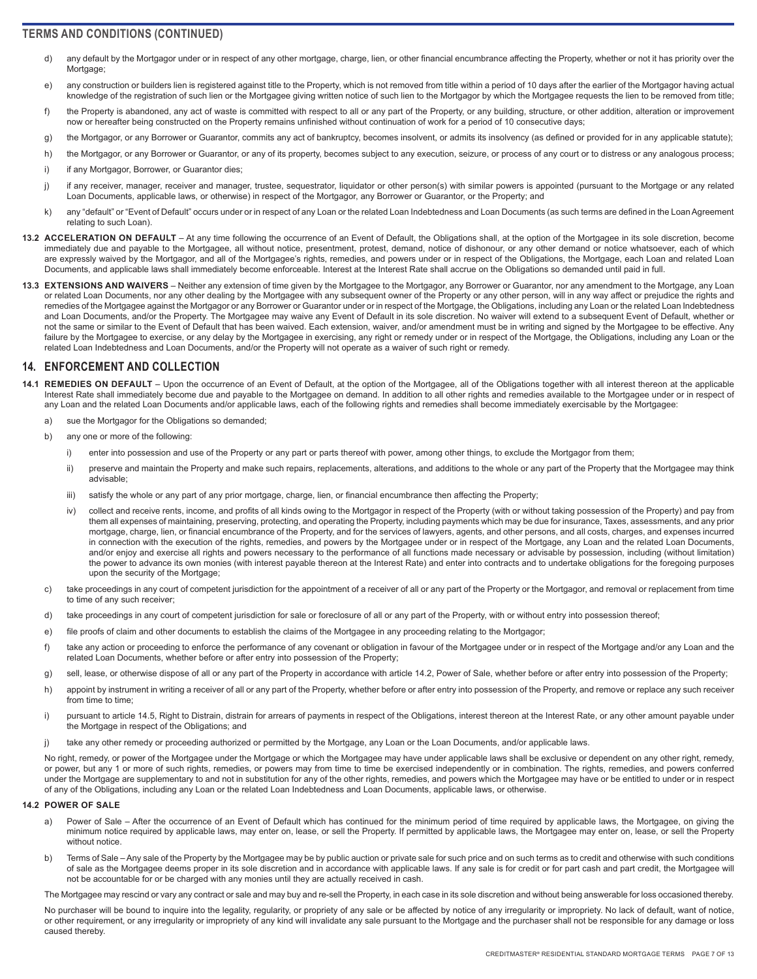- <span id="page-6-0"></span>d) any default by the Mortgagor under or in respect of any other mortgage, charge, lien, or other financial encumbrance affecting the Property, whether or not it has priority over the Mortgage;
- e) any construction or builders lien is registered against title to the Property, which is not removed from title within a period of 10 days after the earlier of the Mortgagor having actual knowledge of the registration of such lien or the Mortgagee giving written notice of such lien to the Mortgagor by which the Mortgagee requests the lien to be removed from title;
- f) the Property is abandoned, any act of waste is committed with respect to all or any part of the Property, or any building, structure, or other addition, alteration or improvement now or hereafter being constructed on the Property remains unfinished without continuation of work for a period of 10 consecutive days;
- g) the Mortgagor, or any Borrower or Guarantor, commits any act of bankruptcy, becomes insolvent, or admits its insolvency (as defined or provided for in any applicable statute);
- h) the Mortgagor, or any Borrower or Guarantor, or any of its property, becomes subject to any execution, seizure, or process of any court or to distress or any analogous process;
- i) if any Mortgagor, Borrower, or Guarantor dies;
- j) if any receiver, manager, receiver and manager, trustee, sequestrator, liquidator or other person(s) with similar powers is appointed (pursuant to the Mortgage or any related Loan Documents, applicable laws, or otherwise) in respect of the Mortgagor, any Borrower or Guarantor, or the Property; and
- k) any "default" or "Event of Default" occurs under or in respect of any Loan or the related Loan Indebtedness and Loan Documents (as such terms are defined in the Loan Agreement relating to such Loan).
- **13.2 ACCELERATION ON DEFAULT**  At any time following the occurrence of an Event of Default, the Obligations shall, at the option of the Mortgagee in its sole discretion, become immediately due and payable to the Mortgagee, all without notice, presentment, protest, demand, notice of dishonour, or any other demand or notice whatsoever, each of which are expressly waived by the Mortgagor, and all of the Mortgagee's rights, remedies, and powers under or in respect of the Obligations, the Mortgage, each Loan and related Loan Documents, and applicable laws shall immediately become enforceable. Interest at the Interest Rate shall accrue on the Obligations so demanded until paid in full.
- **13.3 EXTENSIONS AND WAIVERS**  Neither any extension of time given by the Mortgagee to the Mortgagor, any Borrower or Guarantor, nor any amendment to the Mortgage, any Loan or related Loan Documents, nor any other dealing by the Mortgagee with any subsequent owner of the Property or any other person, will in any way affect or prejudice the rights and remedies of the Mortgagee against the Mortgagor or any Borrower or Guarantor under or in respect of the Mortgage, the Obligations, including any Loan or the related Loan Indebtedness and Loan Documents, and/or the Property. The Mortgagee may waive any Event of Default in its sole discretion. No waiver will extend to a subsequent Event of Default, whether or not the same or similar to the Event of Default that has been waived. Each extension, waiver, and/or amendment must be in writing and signed by the Mortgagee to be effective. Any failure by the Mortgagee to exercise, or any delay by the Mortgagee in exercising, any right or remedy under or in respect of the Mortgage, the Obligations, including any Loan or the related Loan Indebtedness and Loan Documents, and/or the Property will not operate as a waiver of such right or remedy.

## **14. ENFORCEMENT AND COLLECTION**

- **14.1 REMEDIES ON DEFAULT**  Upon the occurrence of an Event of Default, at the option of the Mortgagee, all of the Obligations together with all interest thereon at the applicable Interest Rate shall immediately become due and payable to the Mortgagee on demand. In addition to all other rights and remedies available to the Mortgagee under or in respect of any Loan and the related Loan Documents and/or applicable laws, each of the following rights and remedies shall become immediately exercisable by the Mortgagee:
	- a) sue the Mortgagor for the Obligations so demanded;
	- b) any one or more of the following:
		- i) enter into possession and use of the Property or any part or parts thereof with power, among other things, to exclude the Mortgagor from them;
		- ii) preserve and maintain the Property and make such repairs, replacements, alterations, and additions to the whole or any part of the Property that the Mortgagee may think advisable;
		- iii) satisfy the whole or any part of any prior mortgage, charge, lien, or financial encumbrance then affecting the Property;
		- iv) collect and receive rents, income, and profits of all kinds owing to the Mortgagor in respect of the Property (with or without taking possession of the Property) and pay from them all expenses of maintaining, preserving, protecting, and operating the Property, including payments which may be due for insurance, Taxes, assessments, and any prior mortgage, charge, lien, or financial encumbrance of the Property, and for the services of lawyers, agents, and other persons, and all costs, charges, and expenses incurred in connection with the execution of the rights, remedies, and powers by the Mortgagee under or in respect of the Mortgage, any Loan and the related Loan Documents, and/or enjoy and exercise all rights and powers necessary to the performance of all functions made necessary or advisable by possession, including (without limitation) the power to advance its own monies (with interest payable thereon at the Interest Rate) and enter into contracts and to undertake obligations for the foregoing purposes upon the security of the Mortgage;
	- c) take proceedings in any court of competent jurisdiction for the appointment of a receiver of all or any part of the Property or the Mortgagor, and removal or replacement from time to time of any such receiver;
	- d) take proceedings in any court of competent jurisdiction for sale or foreclosure of all or any part of the Property, with or without entry into possession thereof;
	- e) file proofs of claim and other documents to establish the claims of the Mortgagee in any proceeding relating to the Mortgagor;
	- f) take any action or proceeding to enforce the performance of any covenant or obligation in favour of the Mortgagee under or in respect of the Mortgage and/or any Loan and the related Loan Documents, whether before or after entry into possession of the Property;
	- g) sell, lease, or otherwise dispose of all or any part of the Property in accordance with article 14.2, Power of Sale, whether before or after entry into possession of the Property;
	- h) appoint by instrument in writing a receiver of all or any part of the Property, whether before or after entry into possession of the Property, and remove or replace any such receiver from time to time:
	- i) pursuant to article 14.5, Right to Distrain, distrain for arrears of payments in respect of the Obligations, interest thereon at the Interest Rate, or any other amount payable under the Mortgage in respect of the Obligations; and
	- j) take any other remedy or proceeding authorized or permitted by the Mortgage, any Loan or the Loan Documents, and/or applicable laws.

No right, remedy, or power of the Mortgagee under the Mortgage or which the Mortgagee may have under applicable laws shall be exclusive or dependent on any other right, remedy, or power, but any 1 or more of such rights, remedies, or powers may from time to time be exercised independently or in combination. The rights, remedies, and powers conferred under the Mortgage are supplementary to and not in substitution for any of the other rights, remedies, and powers which the Mortgagee may have or be entitled to under or in respect of any of the Obligations, including any Loan or the related Loan Indebtedness and Loan Documents, applicable laws, or otherwise.

#### **14.2 POWER OF SALE**

- a) Power of Sale After the occurrence of an Event of Default which has continued for the minimum period of time required by applicable laws, the Mortgagee, on giving the minimum notice required by applicable laws, may enter on, lease, or sell the Property. If permitted by applicable laws, the Mortgagee may enter on, lease, or sell the Property without notice.
- b) Terms of Sale Any sale of the Property by the Mortgagee may be by public auction or private sale for such price and on such terms as to credit and otherwise with such conditions of sale as the Mortgagee deems proper in its sole discretion and in accordance with applicable laws. If any sale is for credit or for part cash and part credit, the Mortgagee will not be accountable for or be charged with any monies until they are actually received in cash.

The Mortgagee may rescind or vary any contract or sale and may buy and re-sell the Property, in each case in its sole discretion and without being answerable for loss occasioned thereby.

No purchaser will be bound to inquire into the legality, regularity, or propriety of any sale or be affected by notice of any irregularity or impropriety. No lack of default, want of notice, or other requirement, or any irregularity or impropriety of any kind will invalidate any sale pursuant to the Mortgage and the purchaser shall not be responsible for any damage or loss caused thereby.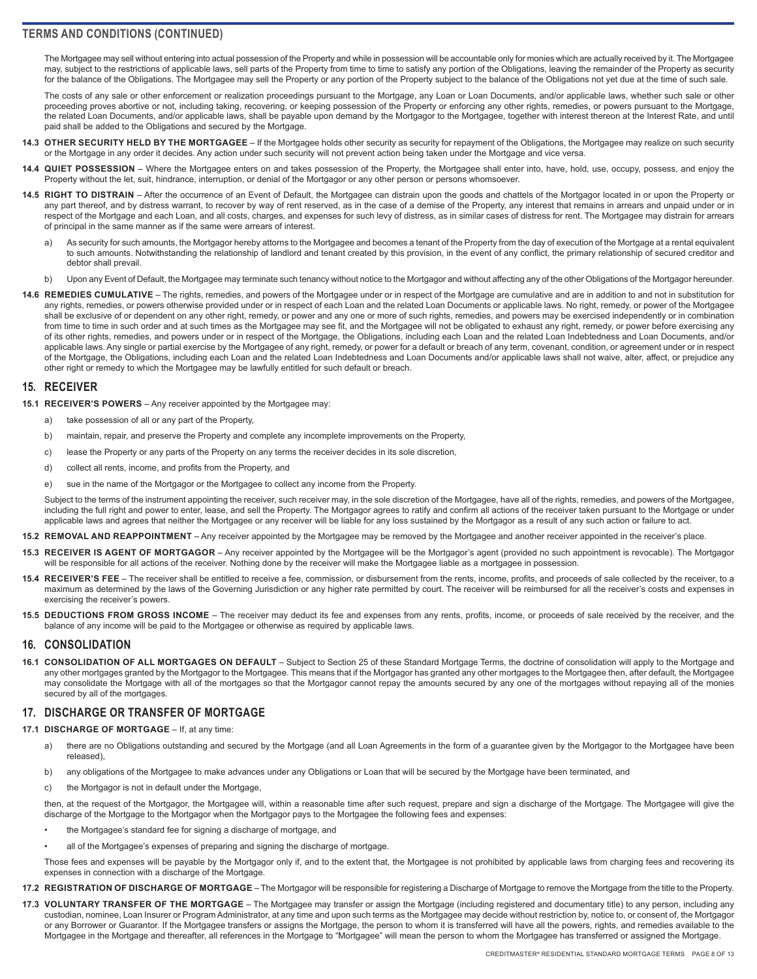<span id="page-7-0"></span>The Mortgagee may sell without entering into actual possession of the Property and while in possession will be accountable only for monies which are actually received by it. The Mortgagee may, subject to the restrictions of applicable laws, sell parts of the Property from time to time to satisfy any portion of the Obligations, leaving the remainder of the Property as security for the balance of the Obligations. The Mortgagee may sell the Property or any portion of the Property subject to the balance of the Obligations not yet due at the time of such sale.

The costs of any sale or other enforcement or realization proceedings pursuant to the Mortgage, any Loan or Loan Documents, and/or applicable laws, whether such sale or other proceeding proves abortive or not, including taking, recovering, or keeping possession of the Property or enforcing any other rights, remedies, or powers pursuant to the Mortgage, the related Loan Documents, and/or applicable laws, shall be payable upon demand by the Mortgagor to the Mortgagee, together with interest thereon at the Interest Rate, and until paid shall be added to the Obligations and secured by the Mortgage.

- **14.3 OTHER SECURITY HELD BY THE MORTGAGEE**  If the Mortgagee holds other security as security for repayment of the Obligations, the Mortgagee may realize on such security or the Mortgage in any order it decides. Any action under such security will not prevent action being taken under the Mortgage and vice versa.
- 14.4 QUIET POSSESSION Where the Mortgagee enters on and takes possession of the Property, the Mortgagee shall enter into, have, hold, use, occupy, possess, and enjoy the Property without the let, suit, hindrance, interruption, or denial of the Mortgagor or any other person or persons whomsoever.
- **14.5 RIGHT TO DISTRAIN**  After the occurrence of an Event of Default, the Mortgagee can distrain upon the goods and chattels of the Mortgagor located in or upon the Property or any part thereof, and by distress warrant, to recover by way of rent reserved, as in the case of a demise of the Property, any interest that remains in arrears and unpaid under or in respect of the Mortgage and each Loan, and all costs, charges, and expenses for such levy of distress, as in similar cases of distress for rent. The Mortgagee may distrain for arrears of principal in the same manner as if the same were arrears of interest.
	- a) As security for such amounts, the Mortgagor hereby attorns to the Mortgagee and becomes a tenant of the Property from the day of execution of the Mortgage at a rental equivalent to such amounts. Notwithstanding the relationship of landlord and tenant created by this provision, in the event of any conflict, the primary relationship of secured creditor and debtor shall prevail.
	- b) Upon any Event of Default, the Mortgagee may terminate such tenancy without notice to the Mortgagor and without affecting any of the other Obligations of the Mortgagor hereunder.
- **14.6 REMEDIES CUMULATIVE**  The rights, remedies, and powers of the Mortgagee under or in respect of the Mortgage are cumulative and are in addition to and not in substitution for any rights, remedies, or powers otherwise provided under or in respect of each Loan and the related Loan Documents or applicable laws. No right, remedy, or power of the Mortgagee shall be exclusive of or dependent on any other right, remedy, or power and any one or more of such rights, remedies, and powers may be exercised independently or in combination from time to time in such order and at such times as the Mortgagee may see fit, and the Mortgagee will not be obligated to exhaust any right, remedy, or power before exercising any of its other rights, remedies, and powers under or in respect of the Mortgage, the Obligations, including each Loan and the related Loan Indebtedness and Loan Documents, and/or applicable laws. Any single or partial exercise by the Mortgagee of any right, remedy, or power for a default or breach of any term, covenant, condition, or agreement under or in respect of the Mortgage, the Obligations, including each Loan and the related Loan Indebtedness and Loan Documents and/or applicable laws shall not waive, alter, affect, or prejudice any other right or remedy to which the Mortgagee may be lawfully entitled for such default or breach.

#### **15. RECEIVER**

- **15.1 RECEIVER'S POWERS**  Any receiver appointed by the Mortgagee may:
	- a) take possession of all or any part of the Property,
	- b) maintain, repair, and preserve the Property and complete any incomplete improvements on the Property,
	- c) lease the Property or any parts of the Property on any terms the receiver decides in its sole discretion,
	- d) collect all rents, income, and profits from the Property, and
	- e) sue in the name of the Mortgagor or the Mortgagee to collect any income from the Property.

Subject to the terms of the instrument appointing the receiver, such receiver may, in the sole discretion of the Mortgagee, have all of the rights, remedies, and powers of the Mortgagee, including the full right and power to enter, lease, and sell the Property. The Mortgagor agrees to ratify and confirm all actions of the receiver taken pursuant to the Mortgage or under applicable laws and agrees that neither the Mortgagee or any receiver will be liable for any loss sustained by the Mortgagor as a result of any such action or failure to act.

- **15.2 REMOVAL AND REAPPOINTMENT**  Any receiver appointed by the Mortgagee may be removed by the Mortgagee and another receiver appointed in the receiver's place.
- **15.3 RECEIVER IS AGENT OF MORTGAGOR**  Any receiver appointed by the Mortgagee will be the Mortgagor's agent (provided no such appointment is revocable). The Mortgagor will be responsible for all actions of the receiver. Nothing done by the receiver will make the Mortgagee liable as a mortgagee in possession.
- **15.4 RECEIVER'S FEE**  The receiver shall be entitled to receive a fee, commission, or disbursement from the rents, income, profits, and proceeds of sale collected by the receiver, to a maximum as determined by the laws of the Governing Jurisdiction or any higher rate permitted by court. The receiver will be reimbursed for all the receiver's costs and expenses in exercising the receiver's powers.
- **15.5 DEDUCTIONS FROM GROSS INCOME**  The receiver may deduct its fee and expenses from any rents, profits, income, or proceeds of sale received by the receiver, and the balance of any income will be paid to the Mortgagee or otherwise as required by applicable laws.

#### **16. CONSOLIDATION**

**16.1 CONSOLIDATION OF ALL MORTGAGES ON DEFAULT** – Subject to Section 25 of these Standard Mortgage Terms, the doctrine of consolidation will apply to the Mortgage and any other mortgages granted by the Mortgagor to the Mortgagee. This means that if the Mortgagor has granted any other mortgages to the Mortgagee then, after default, the Mortgagee may consolidate the Mortgage with all of the mortgages so that the Mortgagor cannot repay the amounts secured by any one of the mortgages without repaying all of the monies secured by all of the mortgages.

## **17. DISCHARGE OR TRANSFER OF MORTGAGE**

- **17.1 DISCHARGE OF MORTGAGE**  If, at any time:
	- a) there are no Obligations outstanding and secured by the Mortgage (and all Loan Agreements in the form of a guarantee given by the Mortgagor to the Mortgagee have been released),
	- b) any obligations of the Mortgagee to make advances under any Obligations or Loan that will be secured by the Mortgage have been terminated, and
	- c) the Mortgagor is not in default under the Mortgage

then, at the request of the Mortgagor, the Mortgagee will, within a reasonable time after such request, prepare and sign a discharge of the Mortgage. The Mortgagee will give the discharge of the Mortgage to the Mortgagor when the Mortgagor pays to the Mortgagee the following fees and expenses:

- the Mortgagee's standard fee for signing a discharge of mortgage, and
- all of the Mortgagee's expenses of preparing and signing the discharge of mortgage.

Those fees and expenses will be payable by the Mortgagor only if, and to the extent that, the Mortgagee is not prohibited by applicable laws from charging fees and recovering its expenses in connection with a discharge of the Mortgage.

- **17.2 REGISTRATION OF DISCHARGE OF MORTGAGE**  The Mortgagor will be responsible for registering a Discharge of Mortgage to remove the Mortgage from the title to the Property.
- **17.3 VOLUNTARY TRANSFER OF THE MORTGAGE**  The Mortgagee may transfer or assign the Mortgage (including registered and documentary title) to any person, including any custodian, nominee, Loan Insurer or Program Administrator, at any time and upon such terms as the Mortgagee may decide without restriction by, notice to, or consent of, the Mortgagor or any Borrower or Guarantor. If the Mortgagee transfers or assigns the Mortgage, the person to whom it is transferred will have all the powers, rights, and remedies available to the Mortgagee in the Mortgage and thereafter, all references in the Mortgage to "Mortgagee" will mean the person to whom the Mortgagee has transferred or assigned the Mortgage.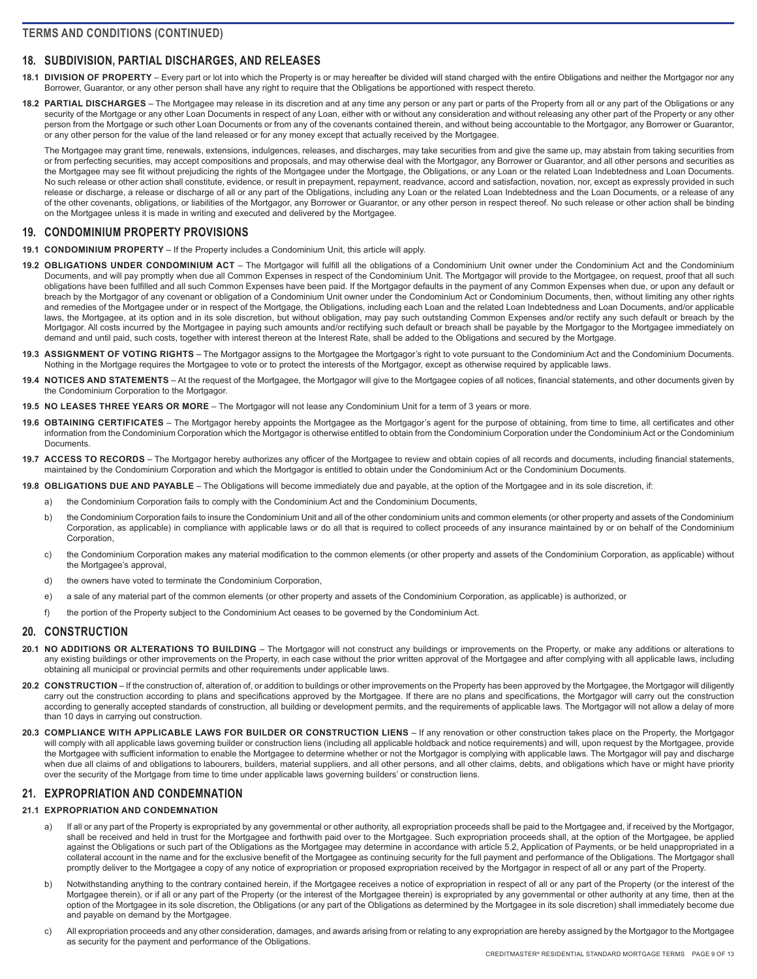# <span id="page-8-0"></span>**18. SUBDIVISION, PARTIAL DISCHARGES, AND RELEASES**

**18.1 DIVISION OF PROPERTY** – Every part or lot into which the Property is or may hereafter be divided will stand charged with the entire Obligations and neither the Mortgagor nor any Borrower, Guarantor, or any other person shall have any right to require that the Obligations be apportioned with respect thereto.

**18.2 PARTIAL DISCHARGES** – The Mortgagee may release in its discretion and at any time any person or any part or parts of the Property from all or any part of the Obligations or any security of the Mortgage or any other Loan Documents in respect of any Loan, either with or without any consideration and without releasing any other part of the Property or any other person from the Mortgage or such other Loan Documents or from any of the covenants contained therein, and without being accountable to the Mortgagor, any Borrower or Guarantor, or any other person for the value of the land released or for any money except that actually received by the Mortgagee.

The Mortgagee may grant time, renewals, extensions, indulgences, releases, and discharges, may take securities from and give the same up, may abstain from taking securities from or from perfecting securities, may accept compositions and proposals, and may otherwise deal with the Mortgagor, any Borrower or Guarantor, and all other persons and securities as the Mortgagee may see fit without prejudicing the rights of the Mortgagee under the Mortgage, the Obligations, or any Loan or the related Loan Indebtedness and Loan Documents. No such release or other action shall constitute, evidence, or result in prepayment, repayment, readvance, accord and satisfaction, novation, nor, except as expressly provided in such release or discharge, a release or discharge of all or any part of the Obligations, including any Loan or the related Loan Indebtedness and the Loan Documents, or a release of any of the other covenants, obligations, or liabilities of the Mortgagor, any Borrower or Guarantor, or any other person in respect thereof. No such release or other action shall be binding on the Mortgagee unless it is made in writing and executed and delivered by the Mortgagee.

### **19. CONDOMINIUM PROPERTY PROVISIONS**

- **19.1 CONDOMINIUM PROPERTY**  If the Property includes a Condominium Unit, this article will apply.
- **19.2 OBLIGATIONS UNDER CONDOMINIUM ACT**  The Mortgagor will fulfill all the obligations of a Condominium Unit owner under the Condominium Act and the Condominium Documents, and will pay promptly when due all Common Expenses in respect of the Condominium Unit. The Mortgagor will provide to the Mortgagee, on request, proof that all such obligations have been fulfilled and all such Common Expenses have been paid. If the Mortgagor defaults in the payment of any Common Expenses when due, or upon any default or breach by the Mortgagor of any covenant or obligation of a Condominium Unit owner under the Condominium Act or Condominium Documents, then, without limiting any other rights and remedies of the Mortgagee under or in respect of the Mortgage, the Obligations, including each Loan and the related Loan Indebtedness and Loan Documents, and/or applicable laws, the Mortgagee, at its option and in its sole discretion, but without obligation, may pay such outstanding Common Expenses and/or rectify any such default or breach by the Mortgagor. All costs incurred by the Mortgagee in paying such amounts and/or rectifying such default or breach shall be payable by the Mortgagor to the Mortgagee immediately on demand and until paid, such costs, together with interest thereon at the Interest Rate, shall be added to the Obligations and secured by the Mortgage.
- **19.3 ASSIGNMENT OF VOTING RIGHTS**  The Mortgagor assigns to the Mortgagee the Mortgagor's right to vote pursuant to the Condominium Act and the Condominium Documents. Nothing in the Mortgage requires the Mortgagee to vote or to protect the interests of the Mortgagor, except as otherwise required by applicable laws.
- **19.4 NOTICES AND STATEMENTS**  At the request of the Mortgagee, the Mortgagor will give to the Mortgagee copies of all notices, financial statements, and other documents given by the Condominium Corporation to the Mortgagor.
- **19.5 NO LEASES THREE YEARS OR MORE**  The Mortgagor will not lease any Condominium Unit for a term of 3 years or more.
- **19.6 OBTAINING CERTIFICATES**  The Mortgagor hereby appoints the Mortgagee as the Mortgagor's agent for the purpose of obtaining, from time to time, all certificates and other information from the Condominium Corporation which the Mortgagor is otherwise entitled to obtain from the Condominium Corporation under the Condominium Act or the Condominium Documents.
- **19.7 ACCESS TO RECORDS**  The Mortgagor hereby authorizes any officer of the Mortgagee to review and obtain copies of all records and documents, including financial statements, maintained by the Condominium Corporation and which the Mortgagor is entitled to obtain under the Condominium Act or the Condominium Documents.
- **19.8 OBLIGATIONS DUE AND PAYABLE**  The Obligations will become immediately due and payable, at the option of the Mortgagee and in its sole discretion, if:
	- a) the Condominium Corporation fails to comply with the Condominium Act and the Condominium Documents,
		- b) the Condominium Corporation fails to insure the Condominium Unit and all of the other condominium units and common elements (or other property and assets of the Condominium Corporation, as applicable) in compliance with applicable laws or do all that is required to collect proceeds of any insurance maintained by or on behalf of the Condominium Corporation,
		- c) the Condominium Corporation makes any material modification to the common elements (or other property and assets of the Condominium Corporation, as applicable) without the Mortgagee's approval,
		- d) the owners have voted to terminate the Condominium Corporation,
		- e) a sale of any material part of the common elements (or other property and assets of the Condominium Corporation, as applicable) is authorized, or
		- f) the portion of the Property subject to the Condominium Act ceases to be governed by the Condominium Act.

## **20. CONSTRUCTION**

- **20.1 NO ADDITIONS OR ALTERATIONS TO BUILDING**  The Mortgagor will not construct any buildings or improvements on the Property, or make any additions or alterations to any existing buildings or other improvements on the Property, in each case without the prior written approval of the Mortgagee and after complying with all applicable laws, including obtaining all municipal or provincial permits and other requirements under applicable laws.
- 20.2 CONSTRUCTION If the construction of, alteration of, or addition to buildings or other improvements on the Property has been approved by the Mortgagee, the Mortgagor will diligently carry out the construction according to plans and specifications approved by the Mortgagee. If there are no plans and specifications, the Mortgagor will carry out the construction according to generally accepted standards of construction, all building or development permits, and the requirements of applicable laws. The Mortgagor will not allow a delay of more than 10 days in carrying out construction.
- 20.3 COMPLIANCE WITH APPLICABLE LAWS FOR BUILDER OR CONSTRUCTION LIENS If any renovation or other construction takes place on the Property, the Mortgagor will comply with all applicable laws governing builder or construction liens (including all applicable holdback and notice requirements) and will, upon request by the Mortgagee, provide the Mortgagee with sufficient information to enable the Mortgagee to determine whether or not the Mortgagor is complying with applicable laws. The Mortgagor will pay and discharge when due all claims of and obligations to labourers, builders, material suppliers, and all other persons, and all other claims, debts, and obligations which have or might have priority over the security of the Mortgage from time to time under applicable laws governing builders' or construction liens.

## **21. EXPROPRIATION AND CONDEMNATION**

#### **21.1 EXPROPRIATION AND CONDEMNATION**

- a) If all or any part of the Property is expropriated by any governmental or other authority, all expropriation proceeds shall be paid to the Mortgagee and, if received by the Mortgagor, shall be received and held in trust for the Mortgagee and forthwith paid over to the Mortgagee. Such expropriation proceeds shall, at the option of the Mortgagee, be applied against the Obligations or such part of the Obligations as the Mortgagee may determine in accordance with article 5.2, Application of Payments, or be held unappropriated in a collateral account in the name and for the exclusive benefit of the Mortgagee as continuing security for the full payment and performance of the Obligations. The Mortgagor shall promptly deliver to the Mortgagee a copy of any notice of expropriation or proposed expropriation received by the Mortgagor in respect of all or any part of the Property.
- b) Notwithstanding anything to the contrary contained herein, if the Mortgagee receives a notice of expropriation in respect of all or any part of the Property (or the interest of the Mortgagee therein), or if all or any part of the Property (or the interest of the Mortgagee therein) is expropriated by any governmental or other authority at any time, then at the option of the Mortgagee in its sole discretion, the Obligations (or any part of the Obligations as determined by the Mortgagee in its sole discretion) shall immediately become due and payable on demand by the Mortgagee.
- c) All expropriation proceeds and any other consideration, damages, and awards arising from or relating to any expropriation are hereby assigned by the Mortgagor to the Mortgagee as security for the payment and performance of the Obligations.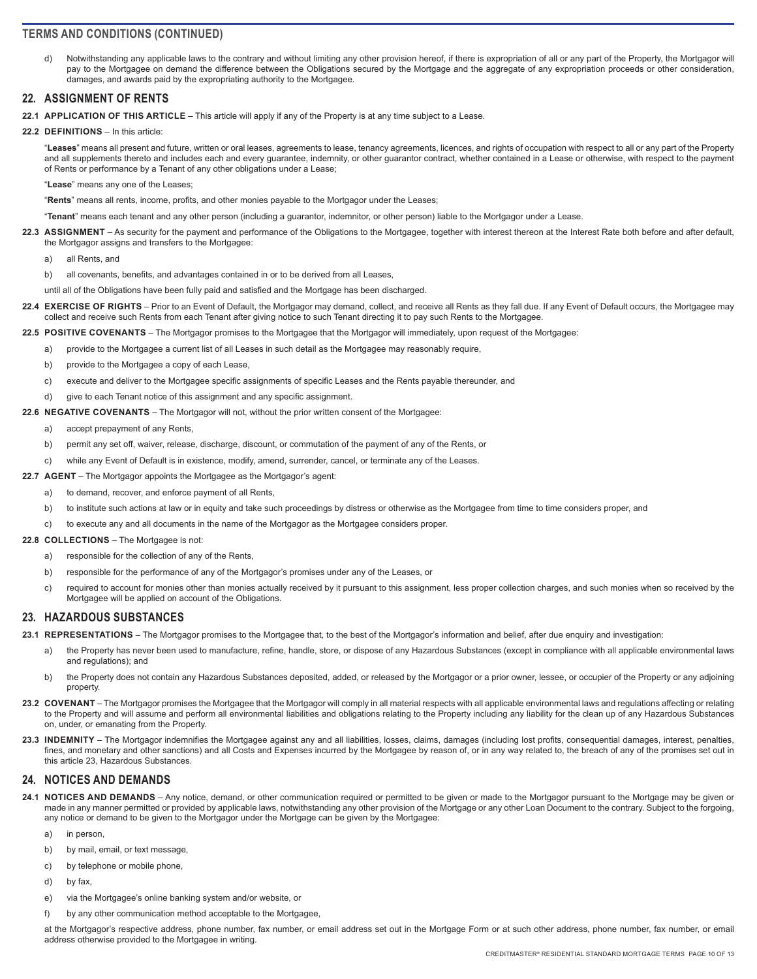<span id="page-9-0"></span>d) Notwithstanding any applicable laws to the contrary and without limiting any other provision hereof, if there is expropriation of all or any part of the Property, the Mortgagor will pay to the Mortgagee on demand the difference between the Obligations secured by the Mortgage and the aggregate of any expropriation proceeds or other consideration. damages, and awards paid by the expropriating authority to the Mortgagee.

### **22. ASSIGNMENT OF RENTS**

- **22.1 APPLICATION OF THIS ARTICLE**  This article will apply if any of the Property is at any time subject to a Lease.
- **22.2 DEFINITIONS**  In this article:

"**Leases**" means all present and future, written or oral leases, agreements to lease, tenancy agreements, licences, and rights of occupation with respect to all or any part of the Property and all supplements thereto and includes each and every guarantee, indemnity, or other guarantor contract, whether contained in a Lease or otherwise, with respect to the payment of Rents or performance by a Tenant of any other obligations under a Lease;

"**Lease**" means any one of the Leases;

"**Rents**" means all rents, income, profits, and other monies payable to the Mortgagor under the Leases;

- "**Tenant**" means each tenant and any other person (including a guarantor, indemnitor, or other person) liable to the Mortgagor under a Lease.
- **22.3 ASSIGNMENT**  As security for the payment and performance of the Obligations to the Mortgagee, together with interest thereon at the Interest Rate both before and after default, the Mortgagor assigns and transfers to the Mortgagee:
	- a) all Rents, and
	- b) all covenants, benefits, and advantages contained in or to be derived from all Leases

until all of the Obligations have been fully paid and satisfied and the Mortgage has been discharged.

**22.4 EXERCISE OF RIGHTS** – Prior to an Event of Default, the Mortgagor may demand, collect, and receive all Rents as they fall due. If any Event of Default occurs, the Mortgagee may collect and receive such Rents from each Tenant after giving notice to such Tenant directing it to pay such Rents to the Mortgagee.

**22.5 POSITIVE COVENANTS** – The Mortgagor promises to the Mortgagee that the Mortgagor will immediately, upon request of the Mortgagee:

- a) provide to the Mortgagee a current list of all Leases in such detail as the Mortgagee may reasonably require,
- b) provide to the Mortgagee a copy of each Lease,
- c) execute and deliver to the Mortgagee specific assignments of specific Leases and the Rents payable thereunder, and
- d) give to each Tenant notice of this assignment and any specific assignment.
- **22.6 NEGATIVE COVENANTS**  The Mortgagor will not, without the prior written consent of the Mortgagee:
	- a) accept prepayment of any Rents,
	- b) permit any set off, waiver, release, discharge, discount, or commutation of the payment of any of the Rents, or
	- c) while any Event of Default is in existence, modify, amend, surrender, cancel, or terminate any of the Leases.
- **22.7 AGENT**  The Mortgagor appoints the Mortgagee as the Mortgagor's agent:
	- a) to demand, recover, and enforce payment of all Rents,
	- b) to institute such actions at law or in equity and take such proceedings by distress or otherwise as the Mortgagee from time to time considers proper, and
	- c) to execute any and all documents in the name of the Mortgagor as the Mortgagee considers proper.

#### **22.8 COLLECTIONS** – The Mortgagee is not:

- a) responsible for the collection of any of the Rents,
- b) responsible for the performance of any of the Mortgagor's promises under any of the Leases, or
- c) required to account for monies other than monies actually received by it pursuant to this assignment, less proper collection charges, and such monies when so received by the Mortgagee will be applied on account of the Obligations.

#### **23. HAZARDOUS SUBSTANCES**

- **23.1 REPRESENTATIONS**  The Mortgagor promises to the Mortgagee that, to the best of the Mortgagor's information and belief, after due enquiry and investigation:
	- a) the Property has never been used to manufacture, refine, handle, store, or dispose of any Hazardous Substances (except in compliance with all applicable environmental laws and regulations); and
	- b) the Property does not contain any Hazardous Substances deposited, added, or released by the Mortgagor or a prior owner, lessee, or occupier of the Property or any adjoining property.
- 23.2 COVENANT The Mortgagor promises the Mortgagee that the Mortgagor will comply in all material respects with all applicable environmental laws and regulations affecting or relating to the Property and will assume and perform all environmental liabilities and obligations relating to the Property including any liability for the clean up of any Hazardous Substances on, under, or emanating from the Property.
- 23.3 INDEMNITY The Mortgagor indemnifies the Mortgagee against any and all liabilities, losses, claims, damages (including lost profits, consequential damages, interest, penalties, fines, and monetary and other sanctions) and all Costs and Expenses incurred by the Mortgagee by reason of, or in any way related to, the breach of any of the promises set out in this article 23, Hazardous Substances.

#### **24. NOTICES AND DEMANDS**

- **24.1 NOTICES AND DEMANDS**  Any notice, demand, or other communication required or permitted to be given or made to the Mortgagor pursuant to the Mortgage may be given or made in any manner permitted or provided by applicable laws, notwithstanding any other provision of the Mortgage or any other Loan Document to the contrary. Subject to the forgoing, any notice or demand to be given to the Mortgagor under the Mortgage can be given by the Mortgagee:
	- a) in person,
	- b) by mail, email, or text message,
	- c) by telephone or mobile phone,
	- d) by fax,
	- e) via the Mortgagee's online banking system and/or website, or
	- f) by any other communication method acceptable to the Mortgagee,

at the Mortgagor's respective address, phone number, fax number, or email address set out in the Mortgage Form or at such other address, phone number, fax number, or email address otherwise provided to the Mortgagee in writing.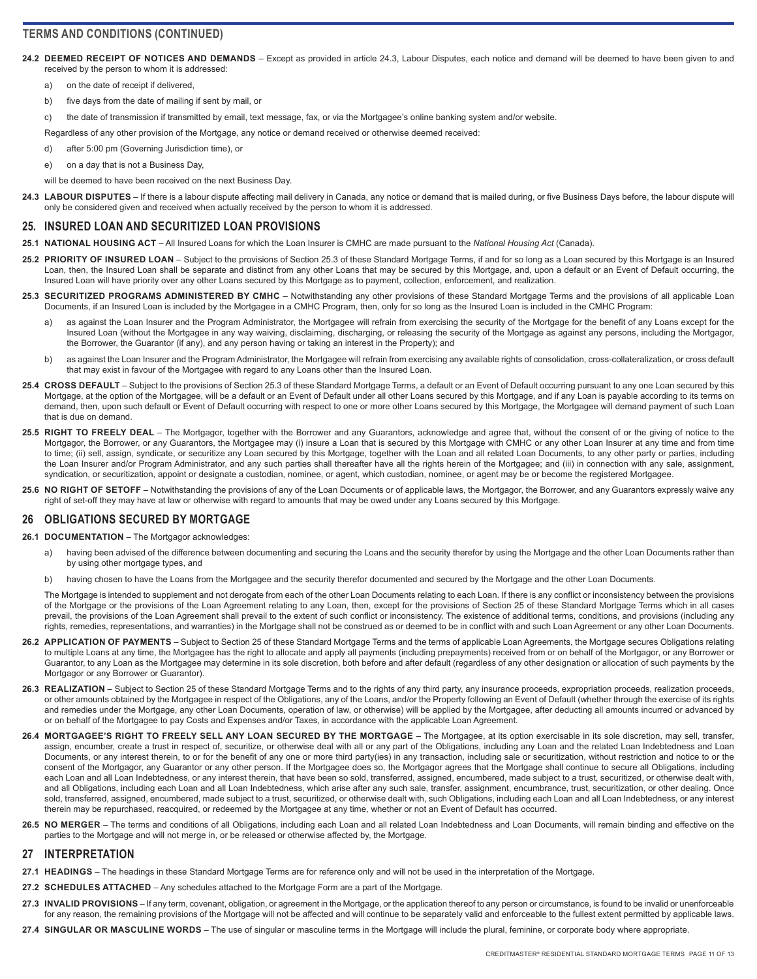- <span id="page-10-0"></span>24.2 DEEMED RECEIPT OF NOTICES AND DEMANDS – Except as provided in article 24.3, Labour Disputes, each notice and demand will be deemed to have been given to and received by the person to whom it is addressed:
	- a) on the date of receipt if delivered,
	- b) five days from the date of mailing if sent by mail, or
	- c) the date of transmission if transmitted by email, text message, fax, or via the Mortgagee's online banking system and/or website.

Regardless of any other provision of the Mortgage, any notice or demand received or otherwise deemed received:

- d) after 5:00 pm (Governing Jurisdiction time), or
- e) on a day that is not a Business Day,
- will be deemed to have been received on the next Business Day.
- **24.3 LABOUR DISPUTES**  If there is a labour dispute affecting mail delivery in Canada, any notice or demand that is mailed during, or five Business Days before, the labour dispute will only be considered given and received when actually received by the person to whom it is addressed.

### **25. INSURED LOAN AND SECURITIZED LOAN PROVISIONS**

- **25.1 NATIONAL HOUSING ACT**  All Insured Loans for which the Loan Insurer is CMHC are made pursuant to the *National Housing Act* (Canada).
- **25.2 PRIORITY OF INSURED LOAN**  Subject to the provisions of Section 25.3 of these Standard Mortgage Terms, if and for so long as a Loan secured by this Mortgage is an Insured Loan, then, the Insured Loan shall be separate and distinct from any other Loans that may be secured by this Mortgage, and, upon a default or an Event of Default occurring, the Insured Loan will have priority over any other Loans secured by this Mortgage as to payment, collection, enforcement, and realization.
- 25.3 SECURITIZED PROGRAMS ADMINISTERED BY CMHC Notwithstanding any other provisions of these Standard Mortgage Terms and the provisions of all applicable Loan Documents, if an Insured Loan is included by the Mortgagee in a CMHC Program, then, only for so long as the Insured Loan is included in the CMHC Program:
	- as against the Loan Insurer and the Program Administrator, the Mortgagee will refrain from exercising the security of the Mortgage for the benefit of any Loans except for the Insured Loan (without the Mortgagee in any way waiving, disclaiming, discharging, or releasing the security of the Mortgage as against any persons, including the Mortgagor, the Borrower, the Guarantor (if any), and any person having or taking an interest in the Property); and
	- b) as against the Loan Insurer and the Program Administrator, the Mortgagee will refrain from exercising any available rights of consolidation, cross-collateralization, or cross default that may exist in favour of the Mortgagee with regard to any Loans other than the Insured Loan.
- **25.4 CROSS DEFAULT**  Subject to the provisions of Section 25.3 of these Standard Mortgage Terms, a default or an Event of Default occurring pursuant to any one Loan secured by this Mortgage, at the option of the Mortgagee, will be a default or an Event of Default under all other Loans secured by this Mortgage, and if any Loan is payable according to its terms on demand, then, upon such default or Event of Default occurring with respect to one or more other Loans secured by this Mortgage, the Mortgagee will demand payment of such Loan that is due on demand.
- **25.5 RIGHT TO FREELY DEAL**  The Mortgagor, together with the Borrower and any Guarantors, acknowledge and agree that, without the consent of or the giving of notice to the Mortgagor, the Borrower, or any Guarantors, the Mortgagee may (i) insure a Loan that is secured by this Mortgage with CMHC or any other Loan Insurer at any time and from time to time; (ii) sell, assign, syndicate, or securitize any Loan secured by this Mortgage, together with the Loan and all related Loan Documents, to any other party or parties, including the Loan Insurer and/or Program Administrator, and any such parties shall thereafter have all the rights herein of the Mortgagee; and (iii) in connection with any sale, assignment, syndication, or securitization, appoint or designate a custodian, nominee, or agent, which custodian, nominee, or agent may be or become the registered Mortgagee.
- 25.6 NO RIGHT OF SETOFF Notwithstanding the provisions of any of the Loan Documents or of applicable laws, the Mortgagor, the Borrower, and any Guarantors expressly waive any right of set-off they may have at law or otherwise with regard to amounts that may be owed under any Loans secured by this Mortgage.

## **26 OBLIGATIONS SECURED BY MORTGAGE**

- **26.1 DOCUMENTATION**  The Mortgagor acknowledges:
	- a) having been advised of the difference between documenting and securing the Loans and the security therefor by using the Mortgage and the other Loan Documents rather than by using other mortgage types, and
	- b) having chosen to have the Loans from the Mortgagee and the security therefor documented and secured by the Mortgage and the other Loan Documents.

The Mortgage is intended to supplement and not derogate from each of the other Loan Documents relating to each Loan. If there is any conflict or inconsistency between the provisions of the Mortgage or the provisions of the Loan Agreement relating to any Loan, then, except for the provisions of Section 25 of these Standard Mortgage Terms which in all cases prevail, the provisions of the Loan Agreement shall prevail to the extent of such conflict or inconsistency. The existence of additional terms, conditions, and provisions (including any rights, remedies, representations, and warranties) in the Mortgage shall not be construed as or deemed to be in conflict with and such Loan Agreement or any other Loan Documents.

- **26.2 APPLICATION OF PAYMENTS**  Subject to Section 25 of these Standard Mortgage Terms and the terms of applicable Loan Agreements, the Mortgage secures Obligations relating to multiple Loans at any time, the Mortgagee has the right to allocate and apply all payments (including prepayments) received from or on behalf of the Mortgagor, or any Borrower or Guarantor, to any Loan as the Mortgagee may determine in its sole discretion, both before and after default (regardless of any other designation or allocation of such payments by the Mortgagor or any Borrower or Guarantor).
- 26.3 REALIZATION Subject to Section 25 of these Standard Mortgage Terms and to the rights of any third party, any insurance proceeds, expropriation proceeds, realization proceeds, or other amounts obtained by the Mortgagee in respect of the Obligations, any of the Loans, and/or the Property following an Event of Default (whether through the exercise of its rights and remedies under the Mortgage, any other Loan Documents, operation of law, or otherwise) will be applied by the Mortgagee, after deducting all amounts incurred or advanced by or on behalf of the Mortgagee to pay Costs and Expenses and/or Taxes, in accordance with the applicable Loan Agreement.
- **26.4 MORTGAGEE'S RIGHT TO FREELY SELL ANY LOAN SECURED BY THE MORTGAGE**  The Mortgagee, at its option exercisable in its sole discretion, may sell, transfer, assign, encumber, create a trust in respect of, securitize, or otherwise deal with all or any part of the Obligations, including any Loan and the related Loan Indebtedness and Loan Documents, or any interest therein, to or for the benefit of any one or more third party(ies) in any transaction, including sale or securitization, without restriction and notice to or the consent of the Mortgagor, any Guarantor or any other person. If the Mortgagee does so, the Mortgagor agrees that the Mortgage shall continue to secure all Obligations, including each Loan and all Loan Indebtedness, or any interest therein, that have been so sold, transferred, assigned, encumbered, made subject to a trust, securitized, or otherwise dealt with, and all Obligations, including each Loan and all Loan Indebtedness, which arise after any such sale, transfer, assignment, encumbrance, trust, securitization, or other dealing. Once sold, transferred, assigned, encumbered, made subject to a trust, securitized, or otherwise dealt with, such Obligations, including each Loan and all Loan Indebtedness, or any interest therein may be repurchased, reacquired, or redeemed by the Mortgagee at any time, whether or not an Event of Default has occurred.
- **26.5 NO MERGER**  The terms and conditions of all Obligations, including each Loan and all related Loan Indebtedness and Loan Documents, will remain binding and effective on the parties to the Mortgage and will not merge in, or be released or otherwise affected by, the Mortgage.

#### **27 INTERPRETATION**

- **27.1 HEADINGS**  The headings in these Standard Mortgage Terms are for reference only and will not be used in the interpretation of the Mortgage.
- **27.2 SCHEDULES ATTACHED**  Any schedules attached to the Mortgage Form are a part of the Mortgage.
- **27.3 INVALID PROVISIONS**  If any term, covenant, obligation, or agreement in the Mortgage, or the application thereof to any person or circumstance, is found to be invalid or unenforceable for any reason, the remaining provisions of the Mortgage will not be affected and will continue to be separately valid and enforceable to the fullest extent permitted by applicable laws.
- **27.4 SINGULAR OR MASCULINE WORDS**  The use of singular or masculine terms in the Mortgage will include the plural, feminine, or corporate body where appropriate.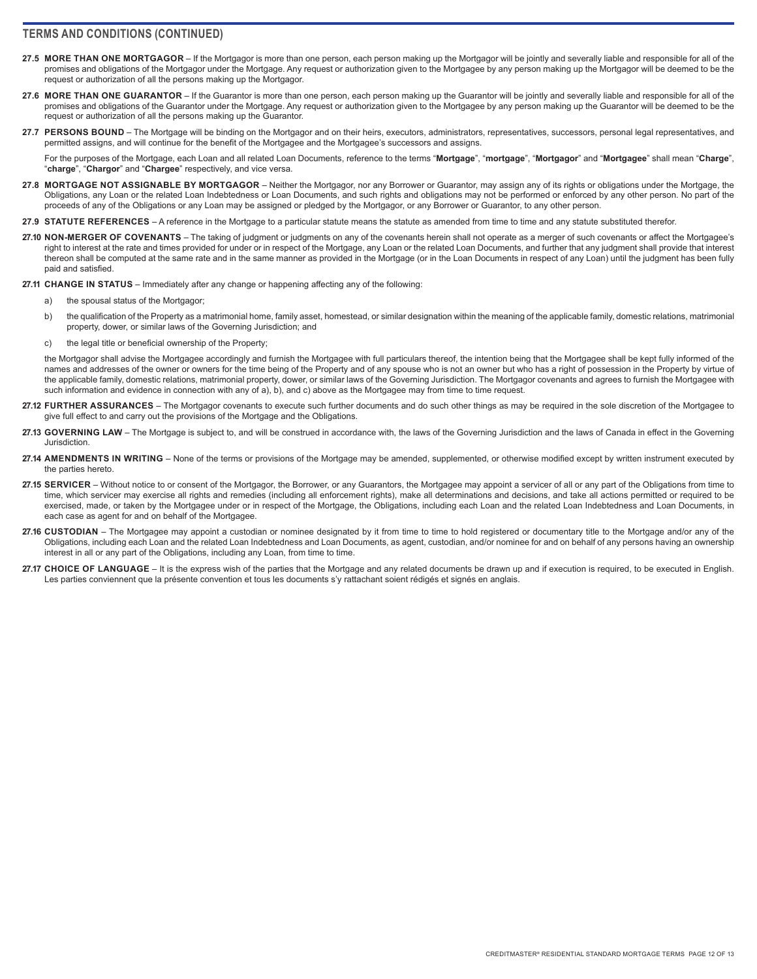- <span id="page-11-0"></span>27.5 MORE THAN ONE MORTGAGOR – If the Mortgagor is more than one person, each person making up the Mortgagor will be jointly and severally liable and responsible for all of the promises and obligations of the Mortgagor under the Mortgage. Any request or authorization given to the Mortgagee by any person making up the Mortgagor will be deemed to be the request or authorization of all the persons making up the Mortgagor.
- 27.6 MORE THAN ONE GUARANTOR If the Guarantor is more than one person, each person making up the Guarantor will be jointly and severally liable and responsible for all of the promises and obligations of the Guarantor under the Mortgage. Any request or authorization given to the Mortgagee by any person making up the Guarantor will be deemed to be the request or authorization of all the persons making up the Guarantor.
- **27.7 PERSONS BOUND**  The Mortgage will be binding on the Mortgagor and on their heirs, executors, administrators, representatives, successors, personal legal representatives, and permitted assigns, and will continue for the benefit of the Mortgagee and the Mortgagee's successors and assigns.

For the purposes of the Mortgage, each Loan and all related Loan Documents, reference to the terms "**Mortgage**", "**mortgage**", "**Mortgagor**" and "**Mortgagee**" shall mean "**Charge**", "**charge**", "**Chargor**" and "**Chargee**" respectively, and vice versa.

- **27.8 MORTGAGE NOT ASSIGNABLE BY MORTGAGOR**  Neither the Mortgagor, nor any Borrower or Guarantor, may assign any of its rights or obligations under the Mortgage, the Obligations, any Loan or the related Loan Indebtedness or Loan Documents, and such rights and obligations may not be performed or enforced by any other person. No part of the proceeds of any of the Obligations or any Loan may be assigned or pledged by the Mortgagor, or any Borrower or Guarantor, to any other person.
- **27.9 STATUTE REFERENCES**  A reference in the Mortgage to a particular statute means the statute as amended from time to time and any statute substituted therefor.
- **27.10 NON-MERGER OF COVENANTS**  The taking of judgment or judgments on any of the covenants herein shall not operate as a merger of such covenants or affect the Mortgagee's right to interest at the rate and times provided for under or in respect of the Mortgage, any Loan or the related Loan Documents, and further that any judgment shall provide that interest thereon shall be computed at the same rate and in the same manner as provided in the Mortgage (or in the Loan Documents in respect of any Loan) until the judgment has been fully paid and satisfied.

**27.11 CHANGE IN STATUS** – Immediately after any change or happening affecting any of the following:

- a) the spousal status of the Mortgagor;
- b) the qualification of the Property as a matrimonial home, family asset, homestead, or similar designation within the meaning of the applicable family, domestic relations, matrimonial property, dower, or similar laws of the Governing Jurisdiction; and
- c) the legal title or beneficial ownership of the Property;

the Mortgagor shall advise the Mortgagee accordingly and furnish the Mortgagee with full particulars thereof, the intention being that the Mortgagee shall be kept fully informed of the names and addresses of the owner or owners for the time being of the Property and of any spouse who is not an owner but who has a right of possession in the Property by virtue of the applicable family, domestic relations, matrimonial property, dower, or similar laws of the Governing Jurisdiction. The Mortgagor covenants and agrees to furnish the Mortgagee with such information and evidence in connection with any of a), b), and c) above as the Mortgagee may from time to time request.

- **27.12 FURTHER ASSURANCES**  The Mortgagor covenants to execute such further documents and do such other things as may be required in the sole discretion of the Mortgagee to give full effect to and carry out the provisions of the Mortgage and the Obligations.
- **27.13 GOVERNING LAW**  The Mortgage is subject to, and will be construed in accordance with, the laws of the Governing Jurisdiction and the laws of Canada in effect in the Governing **Jurisdiction**
- **27.14 AMENDMENTS IN WRITING**  None of the terms or provisions of the Mortgage may be amended, supplemented, or otherwise modified except by written instrument executed by the parties hereto.
- **27.15 SERVICER**  Without notice to or consent of the Mortgagor, the Borrower, or any Guarantors, the Mortgagee may appoint a servicer of all or any part of the Obligations from time to time, which servicer may exercise all rights and remedies (including all enforcement rights), make all determinations and decisions, and take all actions permitted or required to be exercised, made, or taken by the Mortgagee under or in respect of the Mortgage, the Obligations, including each Loan and the related Loan Indebtedness and Loan Documents, in each case as agent for and on behalf of the Mortgagee.
- 27.16 CUSTODIAN The Mortgagee may appoint a custodian or nominee designated by it from time to time to hold registered or documentary title to the Mortgage and/or any of the Obligations, including each Loan and the related Loan Indebtedness and Loan Documents, as agent, custodian, and/or nominee for and on behalf of any persons having an ownership interest in all or any part of the Obligations, including any Loan, from time to time.
- 27.17 CHOICE OF LANGUAGE It is the express wish of the parties that the Mortgage and any related documents be drawn up and if execution is required, to be executed in English. Les parties conviennent que la présente convention et tous les documents s'y rattachant soient rédigés et signés en anglais.